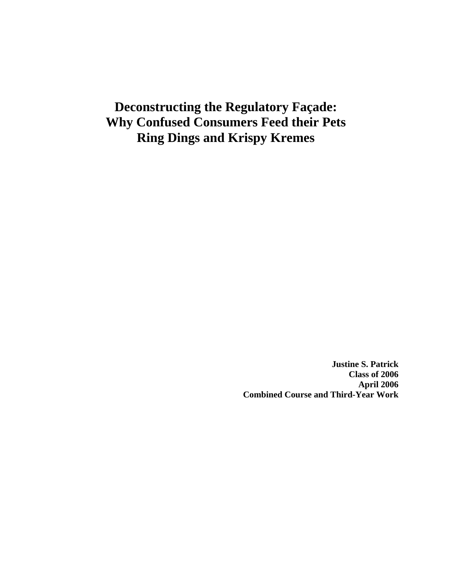# **Deconstructing the Regulatory Façade: Why Confused Consumers Feed their Pets Ring Dings and Krispy Kremes**

**Justine S. Patrick Class of 2006 April 2006 Combined Course and Third-Year Work**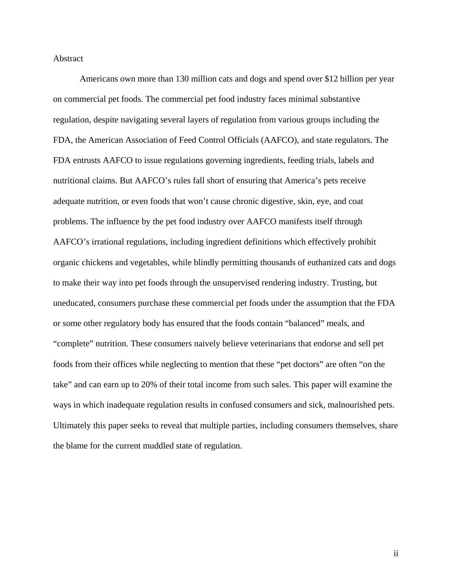Abstract

Americans own more than 130 million cats and dogs and spend over \$12 billion per year on commercial pet foods. The commercial pet food industry faces minimal substantive regulation, despite navigating several layers of regulation from various groups including the FDA, the American Association of Feed Control Officials (AAFCO), and state regulators. The FDA entrusts AAFCO to issue regulations governing ingredients, feeding trials, labels and nutritional claims. But AAFCO's rules fall short of ensuring that America's pets receive adequate nutrition, or even foods that won't cause chronic digestive, skin, eye, and coat problems. The influence by the pet food industry over AAFCO manifests itself through AAFCO's irrational regulations, including ingredient definitions which effectively prohibit organic chickens and vegetables, while blindly permitting thousands of euthanized cats and dogs to make their way into pet foods through the unsupervised rendering industry. Trusting, but uneducated, consumers purchase these commercial pet foods under the assumption that the FDA or some other regulatory body has ensured that the foods contain "balanced" meals, and "complete" nutrition. These consumers naively believe veterinarians that endorse and sell pet foods from their offices while neglecting to mention that these "pet doctors" are often "on the take" and can earn up to 20% of their total income from such sales. This paper will examine the ways in which inadequate regulation results in confused consumers and sick, malnourished pets. Ultimately this paper seeks to reveal that multiple parties, including consumers themselves, share the blame for the current muddled state of regulation.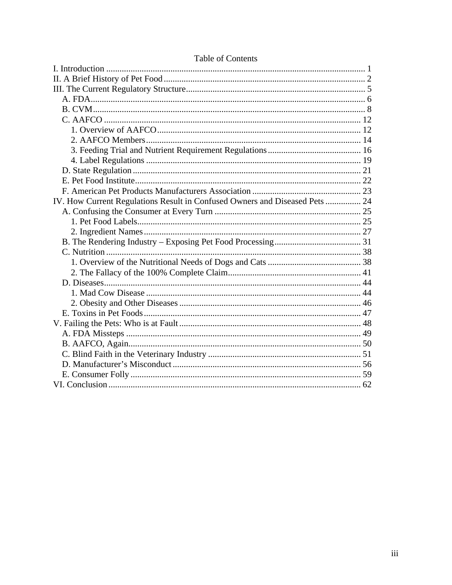| IV. How Current Regulations Result in Confused Owners and Diseased Pets  24 |  |
|-----------------------------------------------------------------------------|--|
|                                                                             |  |
|                                                                             |  |
|                                                                             |  |
|                                                                             |  |
|                                                                             |  |
|                                                                             |  |
|                                                                             |  |
|                                                                             |  |
|                                                                             |  |
|                                                                             |  |
|                                                                             |  |
|                                                                             |  |
|                                                                             |  |
|                                                                             |  |
|                                                                             |  |
|                                                                             |  |
|                                                                             |  |
|                                                                             |  |

# Table of Contents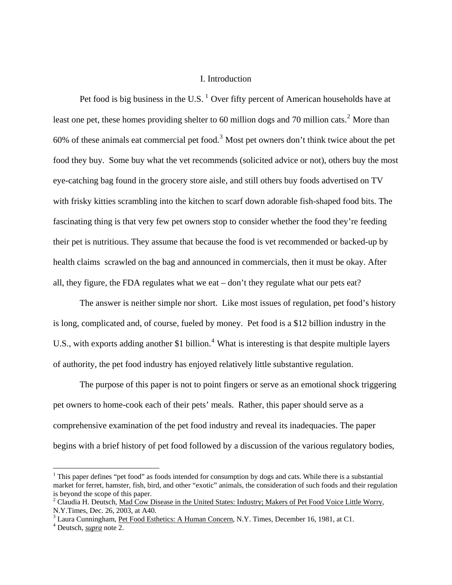# I. Introduction

<span id="page-3-0"></span>Pet food is big business in the U.S.  $<sup>1</sup>$  $<sup>1</sup>$  $<sup>1</sup>$  Over fifty percent of American households have at</sup> least one pet, these homes providing shelter to 60 million dogs and 70 million cats.<sup>[2](#page-3-2)</sup> More than 60% of these animals eat commercial pet food.<sup>[3](#page-3-3)</sup> Most pet owners don't think twice about the pet food they buy. Some buy what the vet recommends (solicited advice or not), others buy the most eye-catching bag found in the grocery store aisle, and still others buy foods advertised on TV with frisky kitties scrambling into the kitchen to scarf down adorable fish-shaped food bits. The fascinating thing is that very few pet owners stop to consider whether the food they're feeding their pet is nutritious. They assume that because the food is vet recommended or backed-up by health claims scrawled on the bag and announced in commercials, then it must be okay. After all, they figure, the FDA regulates what we eat – don't they regulate what our pets eat?

 The answer is neither simple nor short. Like most issues of regulation, pet food's history is long, complicated and, of course, fueled by money. Pet food is a \$12 billion industry in the U.S., with exports adding another \$1 billion.<sup>[4](#page-3-4)</sup> What is interesting is that despite multiple layers of authority, the pet food industry has enjoyed relatively little substantive regulation.

 The purpose of this paper is not to point fingers or serve as an emotional shock triggering pet owners to home-cook each of their pets' meals. Rather, this paper should serve as a comprehensive examination of the pet food industry and reveal its inadequacies. The paper begins with a brief history of pet food followed by a discussion of the various regulatory bodies,

<u>.</u>

<span id="page-3-1"></span><sup>&</sup>lt;sup>1</sup> This paper defines "pet food" as foods intended for consumption by dogs and cats. While there is a substantial market for ferret, hamster, fish, bird, and other "exotic" animals, the consideration of such foods and their regulation is beyond the scope of this paper.

<span id="page-3-2"></span><sup>&</sup>lt;sup>2</sup> Claudia H. Deutsch, Mad Cow Disease in the United States: Industry; Makers of Pet Food Voice Little Worry, N.Y.Times, Dec. 26, 2003, at A40.

<sup>&</sup>lt;sup>3</sup> Laura Cunningham, <u>Pet Food Esthetics: A Human Concern</u>, N.Y. Times, December 16, 1981, at C1.  $4$  Deutsch supra note 2

<span id="page-3-4"></span><span id="page-3-3"></span>Deutsch, *supra* note 2.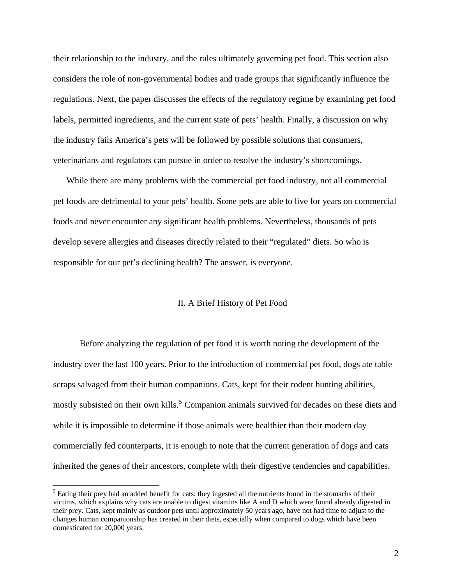<span id="page-4-0"></span>their relationship to the industry, and the rules ultimately governing pet food. This section also considers the role of non-governmental bodies and trade groups that significantly influence the regulations. Next, the paper discusses the effects of the regulatory regime by examining pet food labels, permitted ingredients, and the current state of pets' health. Finally, a discussion on why the industry fails America's pets will be followed by possible solutions that consumers, veterinarians and regulators can pursue in order to resolve the industry's shortcomings.

While there are many problems with the commercial pet food industry, not all commercial pet foods are detrimental to your pets' health. Some pets are able to live for years on commercial foods and never encounter any significant health problems. Nevertheless, thousands of pets develop severe allergies and diseases directly related to their "regulated" diets. So who is responsible for our pet's declining health? The answer, is everyone.

#### II. A Brief History of Pet Food

 Before analyzing the regulation of pet food it is worth noting the development of the industry over the last 100 years. Prior to the introduction of commercial pet food, dogs ate table scraps salvaged from their human companions. Cats, kept for their rodent hunting abilities, mostly subsisted on their own kills.<sup>[5](#page-4-1)</sup> Companion animals survived for decades on these diets and while it is impossible to determine if those animals were healthier than their modern day commercially fed counterparts, it is enough to note that the current generation of dogs and cats inherited the genes of their ancestors, complete with their digestive tendencies and capabilities.

<span id="page-4-1"></span> $<sup>5</sup>$  Eating their prey had an added benefit for cats: they ingested all the nutrients found in the stomachs of their</sup> victims, which explains why cats are unable to digest vitamins like A and D which were found already digested in their prey. Cats, kept mainly as outdoor pets until approximately 50 years ago, have not had time to adjust to the changes human companionship has created in their diets, especially when compared to dogs which have been domesticated for 20,000 years.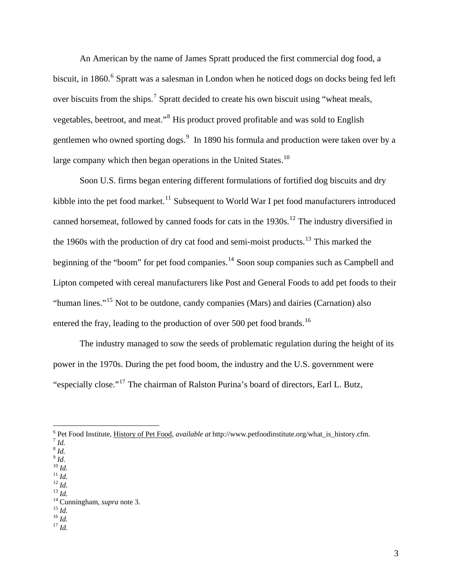An American by the name of James Spratt produced the first commercial dog food, a biscuit, in 18[6](#page-5-0)0.<sup>6</sup> Spratt was a salesman in London when he noticed dogs on docks being fed left over biscuits from the ships.<sup>[7](#page-5-1)</sup> Spratt decided to create his own biscuit using "wheat meals, vegetables, beetroot, and meat."<sup>[8](#page-5-2)</sup> His product proved profitable and was sold to English gentlemen who owned sporting dogs.<sup>[9](#page-5-3)</sup> In 1890 his formula and production were taken over by a large company which then began operations in the United States.<sup>[10](#page-5-4)</sup>

 Soon U.S. firms began entering different formulations of fortified dog biscuits and dry kibble into the pet food market.<sup>[11](#page-5-5)</sup> Subsequent to World War I pet food manufacturers introduced canned horsemeat, followed by canned foods for cats in the 1930s.<sup>[12](#page-5-6)</sup> The industry diversified in the 1960s with the production of dry cat food and semi-moist products.<sup>[13](#page-5-7)</sup> This marked the beginning of the "boom" for pet food companies.<sup>[14](#page-5-8)</sup> Soon soup companies such as Campbell and Lipton competed with cereal manufacturers like Post and General Foods to add pet foods to their "human lines."[15](#page-5-9) Not to be outdone, candy companies (Mars) and dairies (Carnation) also entered the fray, leading to the production of over 500 pet food brands.<sup>[16](#page-5-10)</sup>

 The industry managed to sow the seeds of problematic regulation during the height of its power in the 1970s. During the pet food boom, the industry and the U.S. government were "especially close."[17](#page-5-11) The chairman of Ralston Purina's board of directors, Earl L. Butz,

- <span id="page-5-3"></span><sup>9</sup> *Id.*
- 
- <span id="page-5-6"></span>
- <span id="page-5-8"></span><span id="page-5-7"></span>

- <span id="page-5-9"></span>
- <span id="page-5-11"></span><span id="page-5-10"></span>

<span id="page-5-0"></span><sup>6</sup> Pet Food Institute, History of Pet Food, *available at* http://www.petfoodinstitute.org/what\_is\_history.cfm. 7 *Id.*

<span id="page-5-2"></span><span id="page-5-1"></span> $\int_8^7$  *Id.* 

<span id="page-5-5"></span><span id="page-5-4"></span><sup>10</sup> *Id.* <sup>11</sup> *Id.* <sup>12</sup> *Id.* <sup>13</sup> *Id.* 14 Cunningham, *supra* note 3. 15 *Id.* <sup>16</sup> *Id.* <sup>17</sup> *Id.*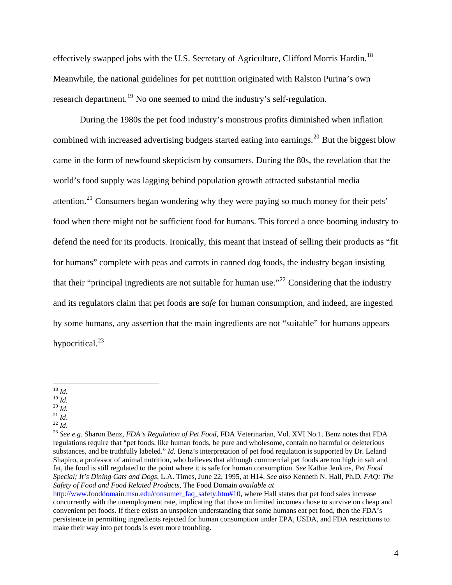effectively swapped jobs with the U.S. Secretary of Agriculture, Clifford Morris Hardin.<sup>[18](#page-6-0)</sup> Meanwhile, the national guidelines for pet nutrition originated with Ralston Purina's own research department.<sup>[19](#page-6-1)</sup> No one seemed to mind the industry's self-regulation.

During the 1980s the pet food industry's monstrous profits diminished when inflation combined with increased advertising budgets started eating into earnings.<sup>[20](#page-6-2)</sup> But the biggest blow came in the form of newfound skepticism by consumers. During the 80s, the revelation that the world's food supply was lagging behind population growth attracted substantial media attention.<sup>[21](#page-6-3)</sup> Consumers began wondering why they were paying so much money for their pets' food when there might not be sufficient food for humans. This forced a once booming industry to defend the need for its products. Ironically, this meant that instead of selling their products as "fit for humans" complete with peas and carrots in canned dog foods, the industry began insisting that their "principal ingredients are not suitable for human use."<sup>[22](#page-6-4)</sup> Considering that the industry and its regulators claim that pet foods are *safe* for human consumption, and indeed, are ingested by some humans, any assertion that the main ingredients are not "suitable" for humans appears hypocritical.<sup>[23](#page-6-5)</sup>

- <span id="page-6-3"></span>
- <span id="page-6-5"></span><span id="page-6-4"></span>

<sup>18</sup> *Id.*

<span id="page-6-2"></span><span id="page-6-1"></span><span id="page-6-0"></span><sup>19</sup> *Id.*<br><sup>20</sup> *Id.*<br><sup>21</sup> *Id.* <sup>22</sup> *Id.* <sup>23</sup> *Id.* <sup>23</sup> *See e.g.* Sharon Benz, *FDA's Regulation of Pet Food*, FDA Veterinarian, Vol. XVI No.1. Benz notes that FDA regulations require that "pet foods, like human foods, be pure and wholesome, contain no harmful or deleterious substances, and be truthfully labeled." *Id.* Benz's interpretation of pet food regulation is supported by Dr. Leland Shapiro, a professor of animal nutrition, who believes that although commercial pet foods are too high in salt and fat, the food is still regulated to the point where it is safe for human consumption. *See* Kathie Jenkins, *Pet Food Special; It's Dining Cats and Dogs*, L.A. Times, June 22, 1995, at H14. *See also* Kenneth N. Hall, Ph.D, *FAQ: The Safety of Food and Food Related Products*, The Food Domain *available at*

[http://www.fooddomain.msu.edu/consumer\\_faq\\_safety.htm#10,](http://www.fooddomain.msu.edu/consumer_faq_safety.htm#10) where Hall states that pet food sales increase concurrently with the unemployment rate, implicating that those on limited incomes chose to survive on cheap and convenient pet foods. If there exists an unspoken understanding that some humans eat pet food, then the FDA's persistence in permitting ingredients rejected for human consumption under EPA, USDA, and FDA restrictions to make their way into pet foods is even more troubling.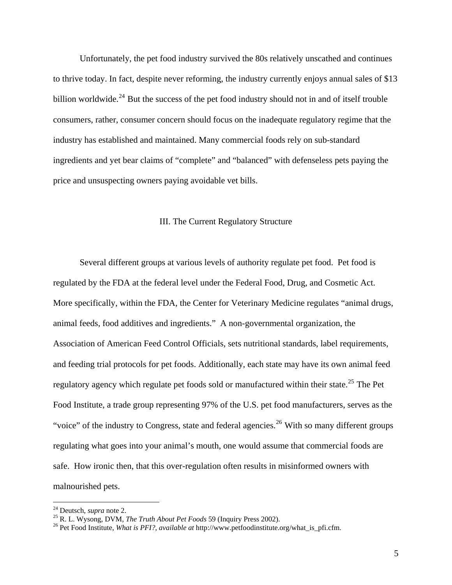<span id="page-7-0"></span> Unfortunately, the pet food industry survived the 80s relatively unscathed and continues to thrive today. In fact, despite never reforming, the industry currently enjoys annual sales of \$13 billion worldwide.<sup>[24](#page-7-1)</sup> But the success of the pet food industry should not in and of itself trouble consumers, rather, consumer concern should focus on the inadequate regulatory regime that the industry has established and maintained. Many commercial foods rely on sub-standard ingredients and yet bear claims of "complete" and "balanced" with defenseless pets paying the price and unsuspecting owners paying avoidable vet bills.

# III. The Current Regulatory Structure

 Several different groups at various levels of authority regulate pet food. Pet food is regulated by the FDA at the federal level under the Federal Food, Drug, and Cosmetic Act. More specifically, within the FDA, the Center for Veterinary Medicine regulates "animal drugs, animal feeds, food additives and ingredients." A non-governmental organization, the Association of American Feed Control Officials, sets nutritional standards, label requirements, and feeding trial protocols for pet foods. Additionally, each state may have its own animal feed regulatory agency which regulate pet foods sold or manufactured within their state.<sup>[25](#page-7-2)</sup> The Pet Food Institute, a trade group representing 97% of the U.S. pet food manufacturers, serves as the "voice" of the industry to Congress, state and federal agencies.<sup>[26](#page-7-3)</sup> With so many different groups regulating what goes into your animal's mouth, one would assume that commercial foods are safe. How ironic then, that this over-regulation often results in misinformed owners with malnourished pets.

<span id="page-7-3"></span>

<span id="page-7-2"></span><span id="page-7-1"></span><sup>&</sup>lt;sup>24</sup> Deutsch, *supra* note 2.<br><sup>25</sup> R. L. Wysong, DVM, *The Truth About Pet Foods* 59 (Inquiry Press 2002).<br><sup>26</sup> Pet Food Institute, *What is PFI?*, *available at http://www.petfoodinstitute.org/what\_is\_pfi.cfm.*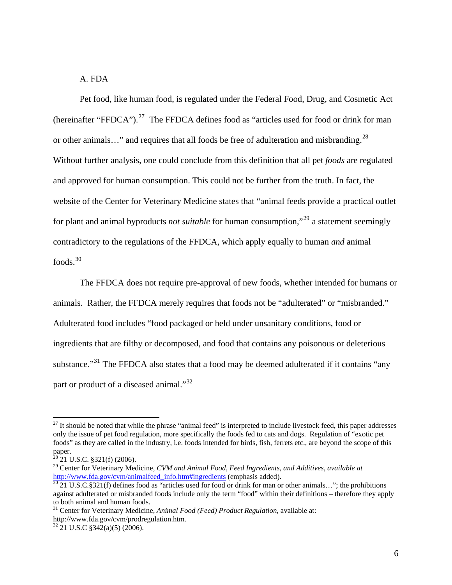# A. FDA

<span id="page-8-0"></span>Pet food, like human food, is regulated under the Federal Food, Drug, and Cosmetic Act (hereinafter "FFDCA").[27](#page-8-1) The FFDCA defines food as "articles used for food or drink for man or other animals…" and requires that all foods be free of adulteration and misbranding.<sup>[28](#page-8-2)</sup> Without further analysis, one could conclude from this definition that all pet *foods* are regulated and approved for human consumption. This could not be further from the truth. In fact, the website of the Center for Veterinary Medicine states that "animal feeds provide a practical outlet for plant and animal byproducts *not suitable* for human consumption,"[29](#page-8-3) a statement seemingly contradictory to the regulations of the FFDCA, which apply equally to human *and* animal foods.[30](#page-8-4)

 The FFDCA does not require pre-approval of new foods, whether intended for humans or animals. Rather, the FFDCA merely requires that foods not be "adulterated" or "misbranded." Adulterated food includes "food packaged or held under unsanitary conditions, food or ingredients that are filthy or decomposed, and food that contains any poisonous or deleterious substance."<sup>[31](#page-8-5)</sup> The FFDCA also states that a food may be deemed adulterated if it contains "any part or product of a diseased animal."<sup>[32](#page-8-6)</sup>

<span id="page-8-1"></span> $^{27}$  It should be noted that while the phrase "animal feed" is interpreted to include livestock feed, this paper addresses only the issue of pet food regulation, more specifically the foods fed to cats and dogs. Regulation of "exotic pet foods" as they are called in the industry, i.e. foods intended for birds, fish, ferrets etc., are beyond the scope of this paper.

 $28$  21 U.S.C. §321(f) (2006).

<span id="page-8-3"></span><span id="page-8-2"></span><sup>29</sup> Center for Veterinary Medicine, *CVM and Animal Food, Feed Ingredients, and Additives*, *available at* [http://www.fda.gov/cvm/animalfeed\\_info.htm#ingredients](http://www.fda.gov/cvm/animalfeed_info.htm#ingredients) (emphasis added).<br><sup>[30](http://www.fda.gov/cvm/animalfeed_info.htm#ingredients)</sup> 21 U.S.C.§321(f) defines food as "articles used for food or drink for man or other animals…"; the prohibitions

<span id="page-8-4"></span>against adulterated or misbranded foods include only the term "food" within their definitions – therefore they apply to both animal and human foods.

<span id="page-8-5"></span><sup>31</sup> Center for Veterinary Medicine, *Animal Food (Feed) Product Regulation*, available at: http://www.fda.gov/cvm/prodregulation.htm.

<span id="page-8-6"></span> $32$  21 U.S.C § 342(a)(5) (2006).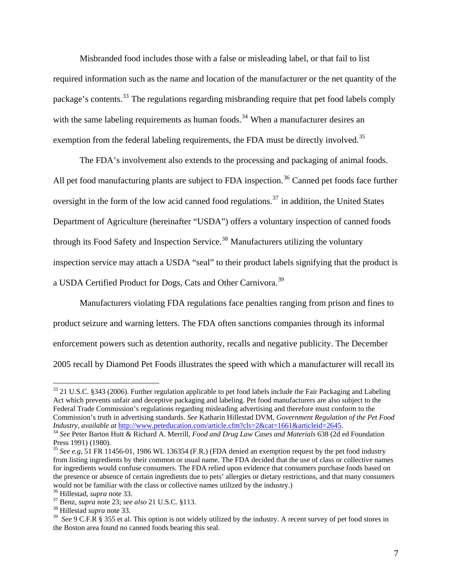Misbranded food includes those with a false or misleading label, or that fail to list required information such as the name and location of the manufacturer or the net quantity of the package's contents.[33](#page-9-0) The regulations regarding misbranding require that pet food labels comply with the same labeling requirements as human foods.<sup>[34](#page-9-1)</sup> When a manufacturer desires an exemption from the federal labeling requirements, the FDA must be directly involved.<sup>[35](#page-9-2)</sup>

The FDA's involvement also extends to the processing and packaging of animal foods. All pet food manufacturing plants are subject to FDA inspection.<sup>[36](#page-9-3)</sup> Canned pet foods face further oversight in the form of the low acid canned food regulations.<sup>[37](#page-9-4)</sup> in addition, the United States Department of Agriculture (hereinafter "USDA") offers a voluntary inspection of canned foods through its Food Safety and Inspection Service.<sup>[38](#page-9-5)</sup> Manufacturers utilizing the voluntary inspection service may attach a USDA "seal" to their product labels signifying that the product is a USDA Certified Product for Dogs, Cats and Other Carnivora.[39](#page-9-6)

Manufacturers violating FDA regulations face penalties ranging from prison and fines to product seizure and warning letters. The FDA often sanctions companies through its informal enforcement powers such as detention authority, recalls and negative publicity. The December 2005 recall by Diamond Pet Foods illustrates the speed with which a manufacturer will recall its

<span id="page-9-0"></span><sup>&</sup>lt;sup>33</sup> 21 U.S.C. §343 (2006). Further regulation applicable to pet food labels include the Fair Packaging and Labeling Act which prevents unfair and deceptive packaging and labeling. Pet food manufacturers are also subject to the Federal Trade Commission's regulations regarding misleading advertising and therefore must conform to the Commission's truth in advertising standards. *See* Katharin Hillestad DVM, *Government Regulation of the Pet Food Industry, available at [http://www.peteducation.com/article.cfm?cls=2&cat=1661&articleid=2645.](http://www.peteducation.com/article.cfm?cls=2&cat=1661&articleid=2645)*<br><sup>34</sup> See Peter Barton Hutt & Richard A. Merrill, *Food and Drug Law Cases and Materials* 638 (2d ed Foundation

<span id="page-9-1"></span>Press 1991) (1980).

<span id="page-9-2"></span><sup>35</sup> *See e.g,* 51 FR 11456-01, 1986 WL 136354 (F.R.) (FDA denied an exemption request by the pet food industry from listing ingredients by their common or usual name. The FDA decided that the use of class or collective names for ingredients would confuse consumers. The FDA relied upon evidence that consumers purchase foods based on the presence or absence of certain ingredients due to pets' allergies or dietary restrictions, and that many consumers would not be familiar with the class or collective names utilized by the industry.)  $36$  Hillestad, *supra* note 33.

<span id="page-9-4"></span><span id="page-9-3"></span><sup>36</sup> Hillestad, *supra* note 33. 37 Benz, *supra* note 23; *see also* 21 U.S.C. §113. 38 Hillestad *supra* note 33.

<span id="page-9-6"></span><span id="page-9-5"></span><sup>&</sup>lt;sup>39</sup> See 9 C.F.R § 355 et al. This option is not widely utilized by the industry. A recent survey of pet food stores in the Boston area found no canned foods bearing this seal.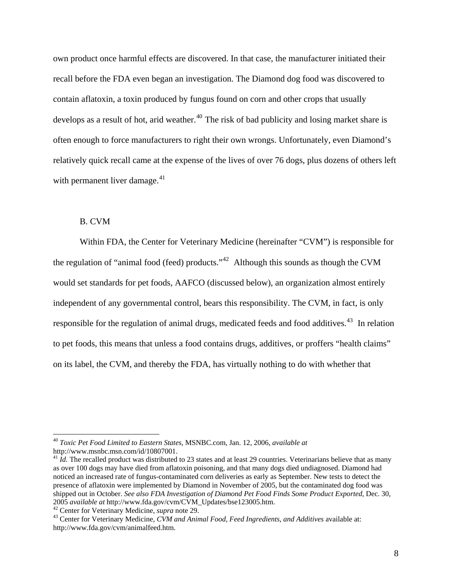<span id="page-10-0"></span>own product once harmful effects are discovered. In that case, the manufacturer initiated their recall before the FDA even began an investigation. The Diamond dog food was discovered to contain aflatoxin, a toxin produced by fungus found on corn and other crops that usually develops as a result of hot, arid weather.<sup>[40](#page-10-1)</sup> The risk of bad publicity and losing market share is often enough to force manufacturers to right their own wrongs. Unfortunately, even Diamond's relatively quick recall came at the expense of the lives of over 76 dogs, plus dozens of others left with permanent liver damage. $41$ 

# B. CVM

1

Within FDA, the Center for Veterinary Medicine (hereinafter "CVM") is responsible for the regulation of "animal food (feed) products."<sup>[42](#page-10-3)</sup> Although this sounds as though the CVM would set standards for pet foods, AAFCO (discussed below), an organization almost entirely independent of any governmental control, bears this responsibility. The CVM, in fact, is only responsible for the regulation of animal drugs, medicated feeds and food additives.<sup>[43](#page-10-4)</sup> In relation to pet foods, this means that unless a food contains drugs, additives, or proffers "health claims" on its label, the CVM, and thereby the FDA, has virtually nothing to do with whether that

<span id="page-10-1"></span><sup>40</sup> *Toxic Pet Food Limited to Eastern States*, MSNBC.com, Jan. 12, 2006, *available at* http://www.msnbc.msn.com/id/10807001.

<span id="page-10-2"></span> $^{41}$  *Id.* The recalled product was distributed to 23 states and at least 29 countries. Veterinarians believe that as many as over 100 dogs may have died from aflatoxin poisoning, and that many dogs died undiagnosed. Diamond had noticed an increased rate of fungus-contaminated corn deliveries as early as September. New tests to detect the presence of aflatoxin were implemented by Diamond in November of 2005, but the contaminated dog food was shipped out in October. *See also FDA Investigation of Diamond Pet Food Finds Some Product Exported*, Dec. 30, 2005 available at http://www.fda.gov/cvm/CVM\_Updates/bse123005.htm.<br><sup>42</sup> Center for Veterinary Medicine, *supra* note 29.<br><sup>43</sup> Center for Veterinary Medicine, *CVM and Animal Food, Feed Ingredients, and Additives* availabl

<span id="page-10-3"></span>

<span id="page-10-4"></span>http://www.fda.gov/cvm/animalfeed.htm.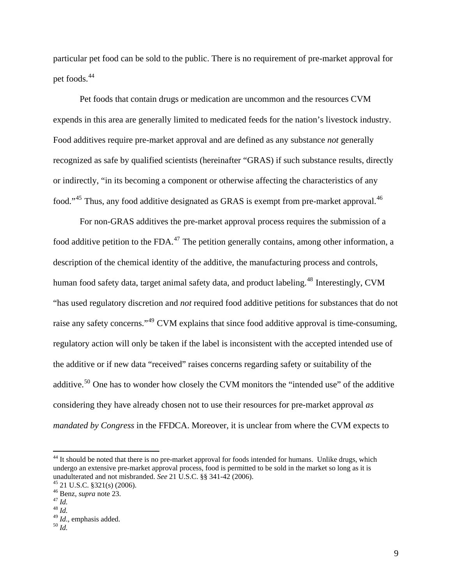particular pet food can be sold to the public. There is no requirement of pre-market approval for pet foods.[44](#page-11-0)

Pet foods that contain drugs or medication are uncommon and the resources CVM expends in this area are generally limited to medicated feeds for the nation's livestock industry. Food additives require pre-market approval and are defined as any substance *not* generally recognized as safe by qualified scientists (hereinafter "GRAS) if such substance results, directly or indirectly, "in its becoming a component or otherwise affecting the characteristics of any food."<sup>[45](#page-11-1)</sup> Thus, any food additive designated as GRAS is exempt from pre-market approval.<sup>[46](#page-11-2)</sup>

For non-GRAS additives the pre-market approval process requires the submission of a food additive petition to the FDA.<sup>[47](#page-11-3)</sup> The petition generally contains, among other information, a description of the chemical identity of the additive, the manufacturing process and controls, human food safety data, target animal safety data, and product labeling.<sup>[48](#page-11-4)</sup> Interestingly, CVM "has used regulatory discretion and *not* required food additive petitions for substances that do not raise any safety concerns."<sup>[49](#page-11-5)</sup> CVM explains that since food additive approval is time-consuming, regulatory action will only be taken if the label is inconsistent with the accepted intended use of the additive or if new data "received" raises concerns regarding safety or suitability of the additive.<sup>[50](#page-11-6)</sup> One has to wonder how closely the CVM monitors the "intended use" of the additive considering they have already chosen not to use their resources for pre-market approval *as mandated by Congress* in the FFDCA. Moreover, it is unclear from where the CVM expects to

<span id="page-11-0"></span><sup>&</sup>lt;sup>44</sup> It should be noted that there is no pre-market approval for foods intended for humans. Unlike drugs, which undergo an extensive pre-market approval process, food is permitted to be sold in the market so long as it is unadulterated and not misbranded. *See* 21 U.S.C. §§ 341-42 (2006). <sup>45</sup> 21 U.S.C. §321(s) (2006).

<span id="page-11-2"></span><span id="page-11-1"></span><sup>46</sup> Benz, *supra* note 23. 47 *Id.* <sup>48</sup> *Id.*

<span id="page-11-3"></span>

<span id="page-11-4"></span>

<span id="page-11-5"></span> $^{49}$  *Id.*, emphasis added.<br> $^{50}$  *Id.* 

<span id="page-11-6"></span>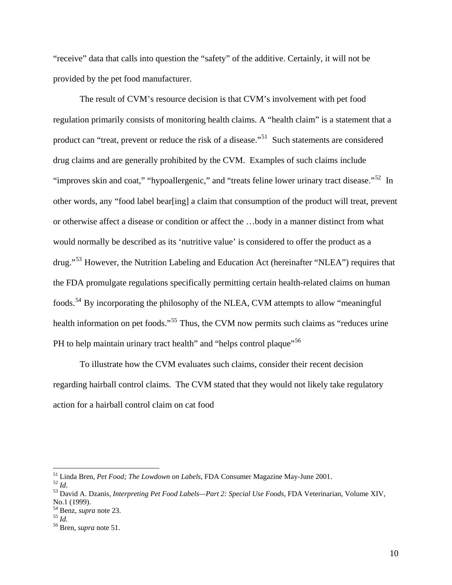"receive" data that calls into question the "safety" of the additive. Certainly, it will not be provided by the pet food manufacturer.

The result of CVM's resource decision is that CVM's involvement with pet food regulation primarily consists of monitoring health claims. A "health claim" is a statement that a product can "treat, prevent or reduce the risk of a disease."<sup>[51](#page-12-0)</sup> Such statements are considered drug claims and are generally prohibited by the CVM. Examples of such claims include "improves skin and coat," "hypoallergenic," and "treats feline lower urinary tract disease."<sup>[52](#page-12-1)</sup> In other words, any "food label bear[ing] a claim that consumption of the product will treat, prevent or otherwise affect a disease or condition or affect the …body in a manner distinct from what would normally be described as its 'nutritive value' is considered to offer the product as a drug."[53](#page-12-2) However, the Nutrition Labeling and Education Act (hereinafter "NLEA") requires that the FDA promulgate regulations specifically permitting certain health-related claims on human foods.[54](#page-12-3) By incorporating the philosophy of the NLEA, CVM attempts to allow "meaningful health information on pet foods."<sup>[55](#page-12-4)</sup> Thus, the CVM now permits such claims as "reduces urine PH to help maintain urinary tract health" and "helps control plaque"<sup>[56](#page-12-5)</sup>

 To illustrate how the CVM evaluates such claims, consider their recent decision regarding hairball control claims. The CVM stated that they would not likely take regulatory action for a hairball control claim on cat food

<sup>&</sup>lt;sup>51</sup> Linda Bren, *Pet Food*; *The Lowdown on Labels*, FDA Consumer Magazine May-June 2001.

<span id="page-12-2"></span><span id="page-12-1"></span><span id="page-12-0"></span><sup>&</sup>lt;sup>52</sup> Id.<br><sup>53</sup> David A. Dzanis, *Interpreting Pet Food Labels—Part 2: Special Use Foods*, FDA Veterinarian, Volume XIV, No.1 (1999).<br><sup>54</sup> Benz, *supra* note 23.

<span id="page-12-5"></span>

<span id="page-12-4"></span><span id="page-12-3"></span><sup>54</sup> Benz, *supra* note 23. 55 *Id.* 56 Bren, *supra* note 51.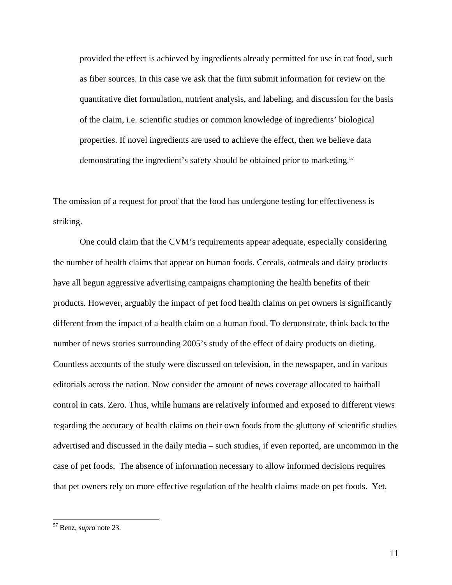provided the effect is achieved by ingredients already permitted for use in cat food, such as fiber sources. In this case we ask that the firm submit information for review on the quantitative diet formulation, nutrient analysis, and labeling, and discussion for the basis of the claim, i.e. scientific studies or common knowledge of ingredients' biological properties. If novel ingredients are used to achieve the effect, then we believe data demonstrating the ingredient's safety should be obtained prior to marketing. [57](#page-13-0)

The omission of a request for proof that the food has undergone testing for effectiveness is striking.

One could claim that the CVM's requirements appear adequate, especially considering the number of health claims that appear on human foods. Cereals, oatmeals and dairy products have all begun aggressive advertising campaigns championing the health benefits of their products. However, arguably the impact of pet food health claims on pet owners is significantly different from the impact of a health claim on a human food. To demonstrate, think back to the number of news stories surrounding 2005's study of the effect of dairy products on dieting. Countless accounts of the study were discussed on television, in the newspaper, and in various editorials across the nation. Now consider the amount of news coverage allocated to hairball control in cats. Zero. Thus, while humans are relatively informed and exposed to different views regarding the accuracy of health claims on their own foods from the gluttony of scientific studies advertised and discussed in the daily media – such studies, if even reported, are uncommon in the case of pet foods. The absence of information necessary to allow informed decisions requires that pet owners rely on more effective regulation of the health claims made on pet foods. Yet,

<span id="page-13-0"></span><sup>57</sup> Benz, *supra* note 23.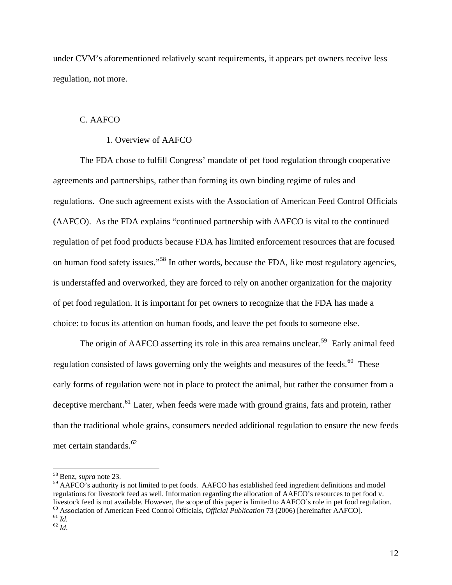<span id="page-14-0"></span>under CVM's aforementioned relatively scant requirements, it appears pet owners receive less regulation, not more.

#### C. AAFCO

# 1. Overview of AAFCO

The FDA chose to fulfill Congress' mandate of pet food regulation through cooperative agreements and partnerships, rather than forming its own binding regime of rules and regulations. One such agreement exists with the Association of American Feed Control Officials (AAFCO). As the FDA explains "continued partnership with AAFCO is vital to the continued regulation of pet food products because FDA has limited enforcement resources that are focused on human food safety issues."[58](#page-14-1) In other words, because the FDA, like most regulatory agencies, is understaffed and overworked, they are forced to rely on another organization for the majority of pet food regulation. It is important for pet owners to recognize that the FDA has made a choice: to focus its attention on human foods, and leave the pet foods to someone else.

The origin of AAFCO asserting its role in this area remains unclear.<sup>[59](#page-14-2)</sup> Early animal feed regulation consisted of laws governing only the weights and measures of the feeds.<sup>[60](#page-14-3)</sup> These early forms of regulation were not in place to protect the animal, but rather the consumer fro m a deceptive merchant.<sup>[61](#page-14-4)</sup> Later, when feeds were made with ground grains, fats and protein, rather than the traditional whole grains, consumers needed additional regulation to ensure the new feeds met certain standards. $62$ 

<u>.</u>

<span id="page-14-1"></span><sup>58</sup> Benz, *supra* note 23.

<span id="page-14-2"></span><sup>&</sup>lt;sup>59</sup> AAFCO's authority is not limited to pet foods. AAFCO has established feed ingredient definitions and model regulations for livestock feed as well. Information regarding the allocation of AAFCO's resources to pet food v. livestock feed is not available. However, the scope of this paper is limited to AAFCO's role in pet food regulation.<br><sup>60</sup> Association of American Feed Control Officials, *Official Publication* 73 (2006) [hereinafter AAFCO

<span id="page-14-5"></span><span id="page-14-4"></span><span id="page-14-3"></span>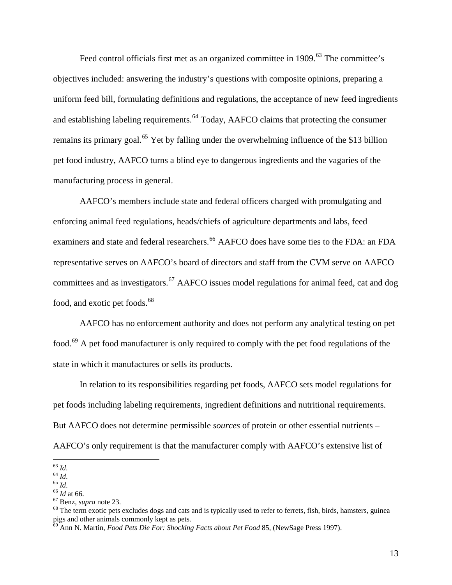Feed control officials first met as an organized committee in 1909.<sup>[63](#page-15-0)</sup> The committee's objectives included: answering the industry's questions with composite opinions, preparing a uniform feed bill, formulating definitions and regulations, the acceptance of new feed ingredients and establishing labeling requirements.<sup>[64](#page-15-1)</sup> Today, AAFCO claims that protecting the consumer remains its primary goal.<sup>[65](#page-15-2)</sup> Yet by falling under the overwhelming influence of the \$13 billion pet food industry, AAFCO turns a blind eye to dangerous ingredients and the vagaries of the manufacturing process in general.

AAFCO's members include state and federal officers charged with promulgating and enforcing animal feed regulations, heads/chiefs of agriculture departments and labs, feed examiners and state and federal researchers.<sup>[66](#page-15-3)</sup> AAFCO does have some ties to the FDA: an FDA representative serves on AAFCO's board of directors and staff from the CVM serve on AAFCO committees and as investigators.<sup>[67](#page-15-4)</sup> AAFCO issues model regulations for animal feed, cat and dog food, and exotic pet foods.<sup>[68](#page-15-5)</sup>

AAFCO has no enforcement authority and does not perform any analytical testing on pet food.<sup>[69](#page-15-6)</sup> A pet food manufacturer is only required to comply with the pet food regulations of the state in which it manufactures or sells its products.

In relation to its responsibilities regarding pet foods, AAFCO sets model regulations for pet foods including labeling requirements, ingredient definitions and nutritional requirements. But AAFCO does not determine permissible *sources* of protein or other essential nutrients – AAFCO's only requirement is that the manufacturer comply with AAFCO's extensive list of

 $63$  Id.

<span id="page-15-3"></span>

<span id="page-15-5"></span><span id="page-15-4"></span>

<span id="page-15-2"></span><span id="page-15-1"></span><span id="page-15-0"></span><sup>&</sup>lt;sup>64</sup> *Id.*<br>
<sup>64</sup> *Id.*<br>
<sup>66</sup> *Id* at 66.<br>
<sup>67</sup> Benz, *supra* note 23.<br>
<sup>68</sup> The term exotic pets excludes dogs and cats and is typically used to refer to ferrets, fish, birds, hamsters, guinea pigs and other animals commonly kept as pets.

<span id="page-15-6"></span><sup>69</sup> Ann N. Martin, *Food Pets Die For: Shocking Facts about Pet Food* 85, (NewSage Press 1997).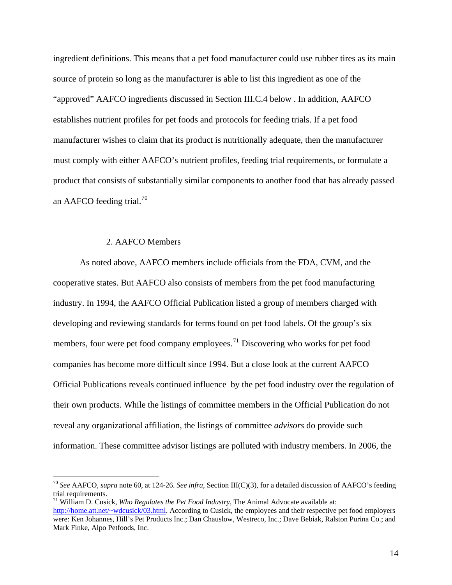<span id="page-16-0"></span>ingredient definitions. This means that a pet food manufacturer could use rubber tires as its main source of protein so long as the manufacturer is able to list this ingredient as one of the "approved" AAFCO ingredients discussed in Section III.C.4 below . In addition, AAFCO establishes nutrient profiles for pet foods and protocols for feeding trials. If a pet food manufacturer wishes to claim that its product is nutritionally adequate, then the manufacturer must comply with either AAFCO's nutrient profiles, feeding trial requirements, or formulate a product that consists of substantially similar components to another food that has already passed an AAFCO feeding trial. $^{70}$  $^{70}$  $^{70}$ 

# 2. AAFCO Members

 $\overline{a}$ 

As noted above, AAFCO members include officials from the FDA, CVM, and the cooperative states. But AAFCO also consists of members from the pet food manufacturing industry. In 1994, the AAFCO Official Publication listed a group of members charged with developing and reviewing standards for terms found on pet food labels. Of the group's six members, four were pet food company employees.<sup>[71](#page-16-2)</sup> Discovering who works for pet food companies has become more difficult since 1994. But a close look at the current AAFCO Official Publications reveals continued influence by the pet food industry over the regulation of their own products. While the listings of committee members in the Official Publication do not reveal any organizational affiliation, the listings of committee *advisors* do provide such information. These committee advisor listings are polluted with industry members. In 2006, the

<span id="page-16-1"></span><sup>70</sup> *See* AAFCO, *supra* note 60, at 124-26. *See infra*, Section III(C)(3), for a detailed discussion of AAFCO's feeding trial requirements.

<span id="page-16-2"></span> $71$  William D. Cusick, *Who Regulates the Pet Food Industry*, The Animal Advocate available at:

[http://home.att.net/~wdcusick/03.html.](http://home.att.net/%7Ewdcusick/03.html) According to Cusick, the employees and their respective pet food employers were: Ken Johannes, Hill's Pet Products Inc.; Dan Chauslow, Westreco, Inc.; Dave Bebiak, Ralston Purina Co.; and Mark Finke, Alpo Petfoods, Inc.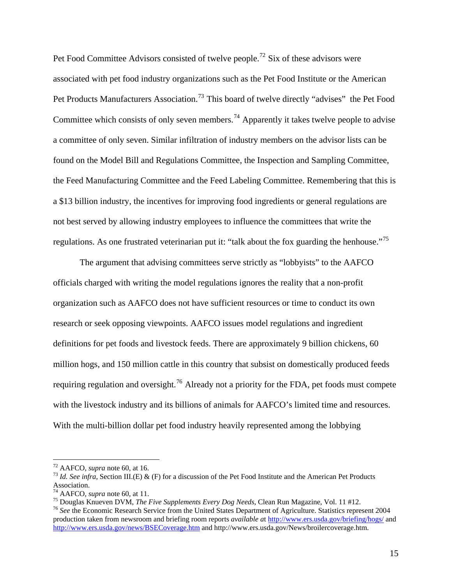Pet Food Committee Advisors consisted of twelve people.<sup>[72](#page-17-0)</sup> Six of these advisors were associated with pet food industry organizations such as the Pet Food Institute or the American Pet Products Manufacturers Association.<sup>[73](#page-17-1)</sup> This board of twelve directly "advises" the Pet Food Committee which consists of only seven members.<sup>[74](#page-17-2)</sup> Apparently it takes twelve people to advise a committee of only seven. Similar infiltration of industry members on the advisor lists can be found on the Model Bill and Regulations Committee, the Inspection and Sampling Committee, the Feed Manufacturing Committee and the Feed Labeling Committee. Remembering that this is a \$13 billion industry, the incentives for improving food ingredients or general regulations are not best served by allowing industry employees to influence the committees that write the regulations. As one frustrated veterinarian put it: "talk about the fox guarding the henhouse."<sup>[75](#page-17-3)</sup>

The argument that advising committees serve strictly as "lobbyists" to the AAFCO officials charged with writing the model regulations ignores the reality that a non-profit organization such as AAFCO does not have sufficient resources or time to conduct its own research or seek opposing viewpoints. AAFCO issues model regulations and ingredient definitions for pet foods and livestock feeds. There are approximately 9 billion chickens, 60 million hogs, and 150 million cattle in this country that subsist on domestically produced feeds requiring regulation and oversight.<sup>[76](#page-17-4)</sup> Already not a priority for the FDA, pet foods must compete with the livestock industry and its billions of animals for AAFCO's limited time and resources. With the multi-billion dollar pet food industry heavily represented among the lobbying

<span id="page-17-0"></span> $72$  AAFCO, supra note 60, at 16.

<span id="page-17-1"></span><sup>&</sup>lt;sup>73</sup> Id. See infra, Section III.(E) & (F) for a discussion of the Pet Food Institute and the American Pet Products Association.<br><sup>74</sup> AAFCO, *supra* note 60, at 11.

<span id="page-17-2"></span>

<span id="page-17-3"></span><sup>&</sup>lt;sup>75</sup> Douglas Knueven DVM, *The Five Supplements Every Dog Needs*, Clean Run Magazine, Vol. 11 #12.<br><sup>76</sup> See the Economic Research Service from the United States Department of Agriculture. Statistics represent 2004

<span id="page-17-4"></span>production taken from newsroom and briefing room reports *available a*t<http://www.ers.usda.gov/briefing/hogs/>and <http://www.ers.usda.gov/news/BSECoverage.htm>and http://www.ers.usda.gov/News/broilercoverage.htm.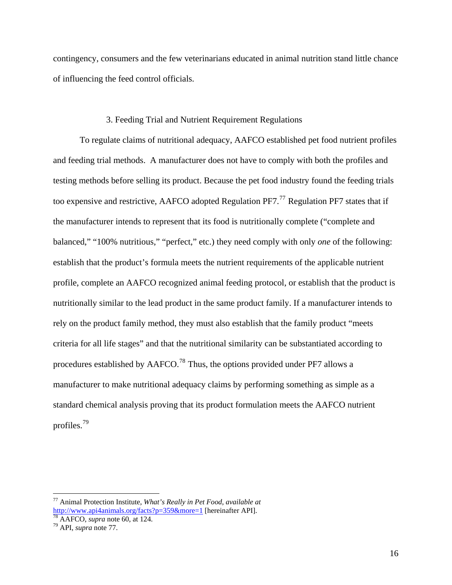<span id="page-18-0"></span>contingency, consumers and the few veterinarians educated in animal nutrition stand little chance of influencing the feed control officials.

# 3. Feeding Trial and Nutrient Requirement Regulations

To regulate claims of nutritional adequacy, AAFCO established pet food nutrient profiles and feeding trial methods. A manufacturer does not have to comply with both the profiles and testing methods before selling its product. Because the pet food industry found the feeding trials too expensive and restrictive, AAFCO adopted Regulation PF7.<sup>[77](#page-18-1)</sup> Regulation PF7 states that if the manufacturer intends to represent that its food is nutritionally complete ("complete and balanced," "100% nutritious," "perfect," etc.) they need comply with only *one* of the following: establish that the product's formula meets the nutrient requirements of the applicable nutrient profile, complete an AAFCO recognized animal feeding protocol, or establish that the product is nutritionally similar to the lead product in the same product family. If a manufacturer intends to rely on the product family method, they must also establish that the family product "meets criteria for all life stages" and that the nutritional similarity can be substantiated according to procedures established by AAFCO.[78](#page-18-2) Thus, the options provided under PF7 allows a manufacturer to make nutritional adequacy claims by performing something as simple as a standard chemical analysis proving that its product formulation meets the AAFCO nutrient profiles.[79](#page-18-3)

<span id="page-18-1"></span><sup>77</sup> Animal Protection Institute, *What's Really in Pet Food*, *available at* <http://www.api4animals.org/facts?p=359&more=1>[hereinafter API].<br><sup>[78](http://www.api4animals.org/facts?p=359&more=1)</sup> AAFCO, *supra* note 60, at 124.<br><sup>79</sup> API, *supra* note 77.

<span id="page-18-2"></span>

<span id="page-18-3"></span>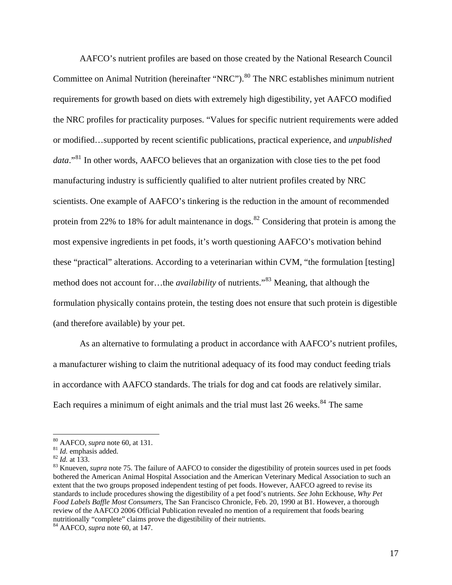AAFCO's nutrient profiles are based on those created by the National Research Council Committee on Animal Nutrition (hereinafter "NRC").<sup>[80](#page-19-0)</sup> The NRC establishes minimum nutrient requirements for growth based on diets with extremely high digestibility, yet AAFCO modified the NRC profiles for practicality purposes. "Values for specific nutrient requirements were added or modified…supported by recent scientific publications, practical experience, and *unpublished data*."[81](#page-19-1) In other words, AAFCO believes that an organization with close ties to the pet food manufacturing industry is sufficiently qualified to alter nutrient profiles created by NRC scientists. One example of AAFCO's tinkering is the reduction in the amount of recommended protein from 22% to 18% for adult maintenance in dogs. $82$  Considering that protein is among the most expensive ingredients in pet foods, it's worth questioning AAFCO's motivation behind these "practical" alterations. According to a veterinarian within CVM, "the formulation [testing] method does not account for…the *availability* of nutrients."[83](#page-19-3) Meaning, that although the formulation physically contains protein, the testing does not ensure that such protein is digestible (and therefore available) by your pet.

As an alternative to formulating a product in accordance with AAFCO's nutrient profiles, a manufacturer wishing to claim the nutritional adequacy of its food may conduct feeding trials in accordance with AAFCO standards. The trials for dog and cat foods are relatively similar. Each requires a minimum of eight animals and the trial must last  $26$  weeks.<sup>[84](#page-19-4)</sup> The same

<span id="page-19-3"></span><span id="page-19-2"></span>

<span id="page-19-1"></span><span id="page-19-0"></span><sup>&</sup>lt;sup>80</sup> AAFCO, *supra* note 60, at 131.<br><sup>81</sup> *Id.* emphasis added. 82 *Id.* at 133.<br><sup>83</sup> Knueven, *supra* note 75. The failure of AAFCO to consider the digestibility of protein sources used in pet foods bothered the American Animal Hospital Association and the American Veterinary Medical Association to such an extent that the two groups proposed independent testing of pet foods. However, AAFCO agreed to revise its standards to include procedures showing the digestibility of a pet food's nutrients. *See* John Eckhouse, *Why Pet Food Labels Baffle Most Consumers*, The San Francisco Chronicle, Feb. 20, 1990 at B1. However, a thorough review of the AAFCO 2006 Official Publication revealed no mention of a requirement that foods bearing nutritionally "complete" claims prove the digestibility of their nutrients.

<span id="page-19-4"></span><sup>84</sup> AAFCO, *supra* note 60, at 147.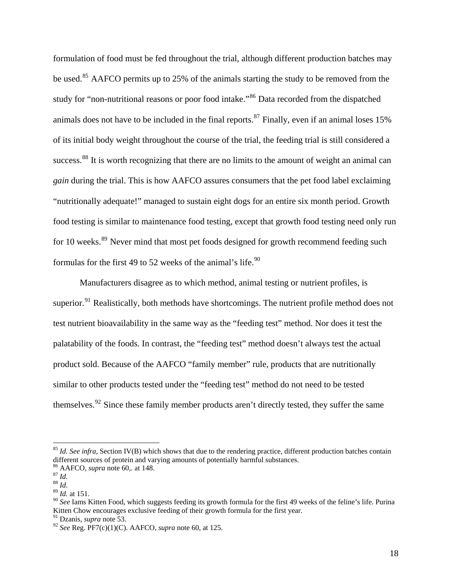formulation of food must be fed throughout the trial, although different production batches may be used.<sup>[85](#page-20-0)</sup> AAFCO permits up to 25% of the animals starting the study to be removed from the study for "non-nutritional reasons or poor food intake."[86](#page-20-1) Data recorded from the dispatched animals does not have to be included in the final reports.<sup>[87](#page-20-2)</sup> Finally, even if an animal loses  $15\%$ of its initial body weight throughout the course of the trial, the feeding trial is still considered a success.<sup>[88](#page-20-3)</sup> It is worth recognizing that there are no limits to the amount of weight an animal can *gain* during the trial. This is how AAFCO assures consumers that the pet food label exclaiming "nutritionally adequate!" managed to sustain eight dogs for an entire six month period. Growth food testing is similar to maintenance food testing, except that growth food testing need only run for 10 weeks.<sup>[89](#page-20-4)</sup> Never mind that most pet foods designed for growth recommend feeding such formulas for the first 49 to 52 weeks of the animal's life. $90$ 

Manufacturers disagree as to which method, animal testing or nutrient profiles, is superior.<sup>[91](#page-20-6)</sup> Realistically, both methods have shortcomings. The nutrient profile method does not test nutrient bioavailability in the same way as the "feeding test" method. Nor does it test the palatability of the foods. In contrast, the "feeding test" method doesn't always test the actual product sold. Because of the AAFCO "family member" rule, products that are nutritionally similar to other products tested under the "feeding test" method do not need to be tested themselves.<sup>[92](#page-20-7)</sup> Since these family member products aren't directly tested, they suffer the same

 $\overline{a}$ 

<span id="page-20-6"></span>91 Dzanis, *supra* note 53.

<span id="page-20-0"></span><sup>&</sup>lt;sup>85</sup> *Id. See infra*, Section IV(B) which shows that due to the rendering practice, different production batches contain different sources of protein and varying amounts of potentially harmful substances.

<span id="page-20-2"></span><span id="page-20-1"></span><sup>86</sup> AAFCO*, supra* note 60*,.* at 148. 87 *Id.* <sup>88</sup> *Id*. 89 *Id.* at 151.

<span id="page-20-3"></span>

<span id="page-20-5"></span><span id="page-20-4"></span><sup>90</sup> *See* Iams Kitten Food, which suggests feeding its growth formula for the first 49 weeks of the feline's life. Purina Kitten Chow encourages exclusive feeding of their growth formula for the first year.

<span id="page-20-7"></span><sup>92</sup> *See* Reg. PF7(c)(1)(C). AAFCO, *supra* note 60, at 125.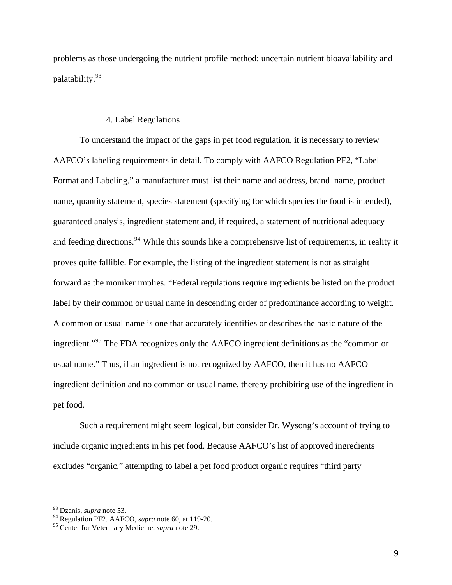<span id="page-21-0"></span>problems as those undergoing the nutrient profile method: uncertain nutrient bioavailability and palatability.[93](#page-21-1)

# 4. Label Regulations

To understand the impact of the gaps in pet food regulation, it is necessary to review AAFCO's labeling requirements in detail. To comply with AAFCO Regulation PF2, "Label Format and Labeling," a manufacturer must list their name and address, brand name, product name, quantity statement, species statement (specifying for which species the food is intended), guaranteed analysis, ingredient statement and, if required, a statement of nutritional adequacy and feeding directions.<sup>[94](#page-21-2)</sup> While this sounds like a comprehensive list of requirements, in reality it proves quite fallible. For example, the listing of the ingredient statement is not as straight forward as the moniker implies. "Federal regulations require ingredients be listed on the product label by their common or usual name in descending order of predominance according to weight. A common or usual name is one that accurately identifies or describes the basic nature of the ingredient."[95](#page-21-3) The FDA recognizes only the AAFCO ingredient definitions as the "common or usual name." Thus, if an ingredient is not recognized by AAFCO, then it has no AAFCO ingredient definition and no common or usual name, thereby prohibiting use of the ingredient in pet food.

Such a requirement might seem logical, but consider Dr. Wysong's account of trying to include organic ingredients in his pet food. Because AAFCO's list of approved ingredients excludes "organic," attempting to label a pet food product organic requires "third party

<sup>93</sup> Dzanis, *supra* note 53.

<span id="page-21-2"></span><span id="page-21-1"></span><sup>94</sup> Regulation PF2. AAFCO, *supra* note 60, at 119-20.

<span id="page-21-3"></span><sup>95</sup> Center for Veterinary Medicine, *supra* note 29.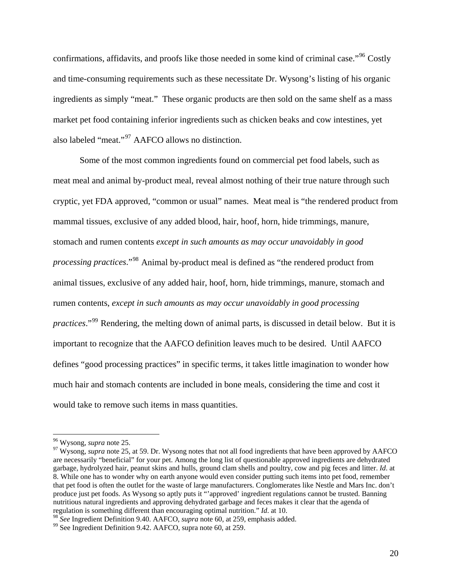confirmations, affidavits, and proofs like those needed in some kind of criminal case."[96](#page-22-0) Costly and time-consuming requirements such as these necessitate Dr. Wysong's listing of his organic ingredients as simply "meat." These organic products are then sold on the same shelf as a mass market pet food containing inferior ingredients such as chicken beaks and cow intestines, yet also labeled "meat."[97](#page-22-1) AAFCO allows no distinction.

Some of the most common ingredients found on commercial pet food labels, such as meat meal and animal by-product meal, reveal almost nothing of their true nature through such cryptic, yet FDA approved, "common or usual" names. Meat meal is "the rendered product from mammal tissues, exclusive of any added blood, hair, hoof, horn, hide trimmings, manure, stomach and rumen contents *except in such amounts as may occur unavoidably in good processing practices*."[98](#page-22-2) Animal by-product meal is defined as "the rendered product from animal tissues, exclusive of any added hair, hoof, horn, hide trimmings, manure, stomach and rumen contents, *except in such amounts as may occur unavoidably in good processing practices*."[99](#page-22-3) Rendering, the melting down of animal parts, is discussed in detail below. But it is important to recognize that the AAFCO definition leaves much to be desired. Until AAFCO defines "good processing practices" in specific terms, it takes little imagination to wonder how much hair and stomach contents are included in bone meals, considering the time and cost it would take to remove such items in mass quantities.

<span id="page-22-1"></span><span id="page-22-0"></span><sup>&</sup>lt;sup>96</sup> Wysong, *supra* note 25.<br><sup>97</sup> Wysong, *supra* note 25, at 59. Dr. Wysong notes that not all food ingredients that have been approved by AAFCO are necessarily "beneficial" for your pet. Among the long list of questionable approved ingredients are dehydrated garbage, hydrolyzed hair, peanut skins and hulls, ground clam shells and poultry, cow and pig feces and litter. *Id*. at 8. While one has to wonder why on earth anyone would even consider putting such items into pet food, remember that pet food is often the outlet for the waste of large manufacturers. Conglomerates like Nestle and Mars Inc. don't produce just pet foods. As Wysong so aptly puts it "'approved' ingredient regulations cannot be trusted. Banning nutritious natural ingredients and approving dehydrated garbage and feces makes it clear that the agenda of regulation is something different than encouraging optimal nutrition." *Id*. at 10.

<span id="page-22-3"></span><span id="page-22-2"></span><sup>&</sup>lt;sup>98</sup> *See* Ingredient Definition 9.40. AAFCO, *supra* note 60, at 259, emphasis added. <sup>99</sup> See Ingredient Definition 9.42. AAFCO, supra note 60, at 259.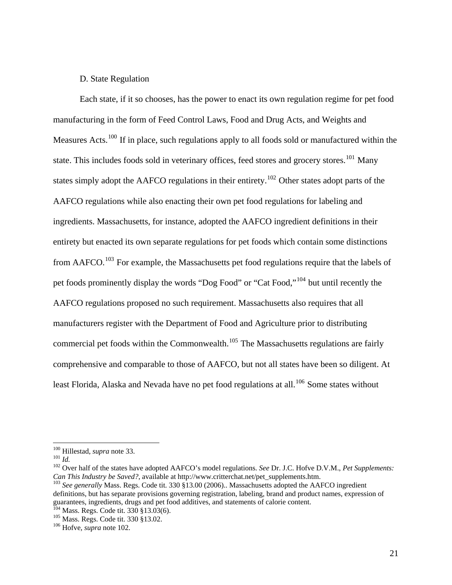# D. State Regulation

<span id="page-23-0"></span> Each state, if it so chooses, has the power to enact its own regulation regime for pet food manufacturing in the form of Feed Control Laws, Food and Drug Acts, and Weights and Measures Acts.<sup>[100](#page-23-1)</sup> If in place, such regulations apply to all foods sold or manufactured within the state. This includes foods sold in veterinary offices, feed stores and grocery stores.<sup>[101](#page-23-2)</sup> Many states simply adopt the AAFCO regulations in their entirety.<sup>[102](#page-23-3)</sup> Other states adopt parts of the AAFCO regulations while also enacting their own pet food regulations for labeling and ingredients. Massachusetts, for instance, adopted the AAFCO ingredient definitions in their entirety but enacted its own separate regulations for pet foods which contain some distinctions from AAFCO.<sup>[103](#page-23-4)</sup> For example, the Massachusetts pet food regulations require that the labels of pet foods prominently display the words "Dog Food" or "Cat Food,"<sup>[104](#page-23-5)</sup> but until recently the AAFCO regulations proposed no such requirement. Massachusetts also requires that all manufacturers register with the Department of Food and Agriculture prior to distributing commercial pet foods within the Commonwealth.<sup>[105](#page-23-6)</sup> The Massachusetts regulations are fairly comprehensive and comparable to those of AAFCO, but not all states have been so diligent. At least Florida, Alaska and Nevada have no pet food regulations at all.<sup>[106](#page-23-7)</sup> Some states without

<sup>&</sup>lt;sup>100</sup> Hillestad, *supra* note 33.

<span id="page-23-3"></span><span id="page-23-2"></span><span id="page-23-1"></span><sup>101</sup> *Id.* 102 Billestad, *supra* note 33.<br><sup>101</sup> *Id.* 20 Over half of the states have adopted AAFCO's model regulations. *See* Dr. J.C. Hofve D.V.M., *Pet Supplements: Can This Industry be Saved?*, available at http://ww

<span id="page-23-4"></span><sup>&</sup>lt;sup>103</sup> See generally Mass. Regs. Code tit. 330 §13.00 (2006).. Massachusetts adopted the AAFCO ingredient definitions, but has separate provisions governing registration, labeling, brand and product names, expression of guarantees, ingredients, drugs and pet food additives, and statements of calorie content.<br><sup>104</sup> Mass. Regs. Code tit. 330 §13.03(6).<br><sup>105</sup> Mass. Regs. Code tit. 330 §13.02.<br><sup>106</sup> Hofve, *supra* note 102.

<span id="page-23-6"></span><span id="page-23-5"></span>

<span id="page-23-7"></span>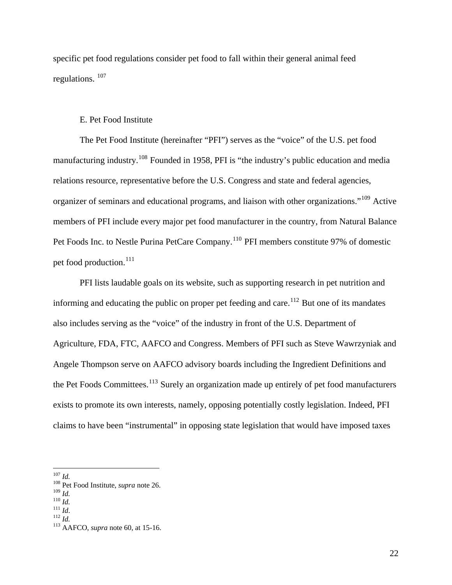<span id="page-24-0"></span>specific pet food regulations consider pet food to fall within their general animal feed regulations. [107](#page-24-1)

#### E. Pet Food Institute

 The Pet Food Institute (hereinafter "PFI") serves as the "voice" of the U.S. pet food manufacturing industry.<sup>[108](#page-24-2)</sup> Founded in 1958, PFI is "the industry's public education and media relations resource, representative before the U.S. Congress and state and federal agencies, organizer of seminars and educational programs, and liaison with other organizations."[109](#page-24-3) Active members of PFI include every major pet food manufacturer in the country, from Natural Balance Pet Foods Inc. to Nestle Purina PetCare Company.<sup>[110](#page-24-4)</sup> PFI members constitute 97% of domestic pet food production.<sup>[111](#page-24-5)</sup>

 PFI lists laudable goals on its website, such as supporting research in pet nutrition and informing and educating the public on proper pet feeding and care.<sup>[112](#page-24-6)</sup> But one of its mandates also includes serving as the "voice" of the industry in front of the U.S. Department of Agriculture, FDA, FTC, AAFCO and Congress. Members of PFI such as Steve Wawrzyniak and Angele Thompson serve on AAFCO advisory boards including the Ingredient Definitions and the Pet Foods Committees.<sup>[113](#page-24-7)</sup> Surely an organization made up entirely of pet food manufacturers exists to promote its own interests, namely, opposing potentially costly legislation. Indeed, PFI claims to have been "instrumental" in opposing state legislation that would have imposed taxes

<span id="page-24-1"></span> $107$   $Id.$ 

<span id="page-24-2"></span><sup>&</sup>lt;sup>108</sup> Pet Food Institute, *supra* note 26.<br><sup>109</sup> Id.

<span id="page-24-5"></span>

<span id="page-24-7"></span><span id="page-24-6"></span>

<span id="page-24-4"></span><span id="page-24-3"></span><sup>110</sup> *Id.*<br>
111 *Id.*<br>
<sup>112</sup> *Id.*<br>
<sup>113</sup> AAFCO, *supra* note 60, at 15-16.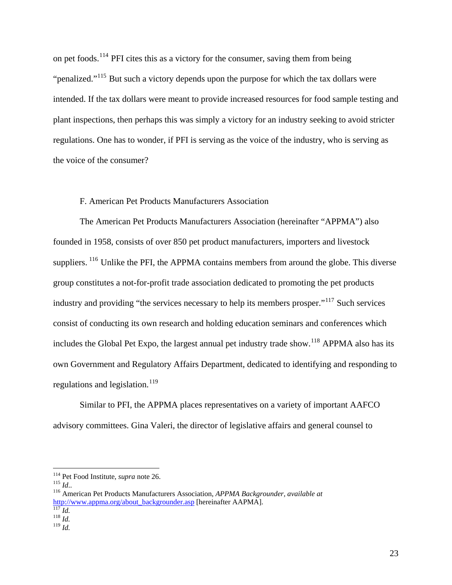<span id="page-25-0"></span>on pet foods.[114](#page-25-1) PFI cites this as a victory for the consumer, saving them from being "penalized."<sup>[115](#page-25-2)</sup> But such a victory depends upon the purpose for which the tax dollars were intended. If the tax dollars were meant to provide increased resources for food sample testing and plant inspections, then perhaps this was simply a victory for an industry seeking to avoid stricter regulations. One has to wonder, if PFI is serving as the voice of the industry, who is serving as the voice of the consumer?

# F. American Pet Products Manufacturers Association

 The American Pet Products Manufacturers Association (hereinafter "APPMA") also founded in 1958, consists of over 850 pet product manufacturers, importers and livestock suppliers. <sup>[116](#page-25-3)</sup> Unlike the PFI, the APPMA contains members from around the globe. This diverse group constitutes a not-for-profit trade association dedicated to promoting the pet products industry and providing "the services necessary to help its members prosper."<sup>[117](#page-25-4)</sup> Such services consist of conducting its own research and holding education seminars and conferences which includes the Global Pet Expo, the largest annual pet industry trade show.<sup>[118](#page-25-5)</sup> APPMA also has its own Government and Regulatory Affairs Department, dedicated to identifying and responding to regulations and legislation.<sup>[119](#page-25-6)</sup>

 Similar to PFI, the APPMA places representatives on a variety of important AAFCO advisory committees. Gina Valeri, the director of legislative affairs and general counsel to

<span id="page-25-1"></span><sup>&</sup>lt;sup>114</sup> Pet Food Institute, *supra* note 26.

<span id="page-25-3"></span><span id="page-25-2"></span><sup>115</sup> *Id..*<br><sup>115</sup> American Pet Products Manufacturers Association, *APPMA Backgrounder, available at* [http://www.appma.org/about\\_backgrounder.asp](http://www.appma.org/about_backgrounder.asp) [hereinafter AAPMA].<br><sup>[117](http://www.appma.org/about_backgrounder.asp)</sup> *Id.* <sup>118</sup> *Id.* <sup>118</sup> *Id.* 

<span id="page-25-4"></span>

<span id="page-25-6"></span><span id="page-25-5"></span><sup>119</sup> *Id.*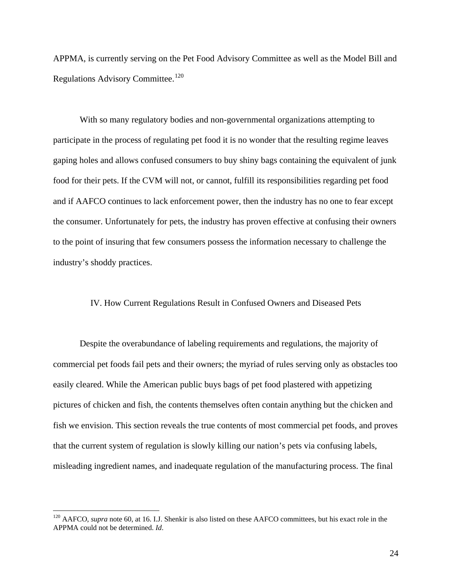<span id="page-26-0"></span>APPMA, is currently serving on the Pet Food Advisory Committee as well as the Model Bill and Regulations Advisory Committee.<sup>[120](#page-26-1)</sup>

 With so many regulatory bodies and non-governmental organizations attempting to participate in the process of regulating pet food it is no wonder that the resulting regime leaves gaping holes and allows confused consumers to buy shiny bags containing the equivalent of junk food for their pets. If the CVM will not, or cannot, fulfill its responsibilities regarding pet food and if AAFCO continues to lack enforcement power, then the industry has no one to fear except the consumer. Unfortunately for pets, the industry has proven effective at confusing their owners to the point of insuring that few consumers possess the information necessary to challenge the industry's shoddy practices.

#### IV. How Current Regulations Result in Confused Owners and Diseased Pets

 Despite the overabundance of labeling requirements and regulations, the majority of commercial pet foods fail pets and their owners; the myriad of rules serving only as obstacles too easily cleared. While the American public buys bags of pet food plastered with appetizing pictures of chicken and fish, the contents themselves often contain anything but the chicken and fish we envision. This section reveals the true contents of most commercial pet foods, and proves that the current system of regulation is slowly killing our nation's pets via confusing labels, misleading ingredient names, and inadequate regulation of the manufacturing process. The final

<span id="page-26-1"></span><sup>&</sup>lt;sup>120</sup> AAFCO, *supra* note 60, at 16. I.J. Shenkir is also listed on these AAFCO committees, but his exact role in the APPMA could not be determined. *Id*.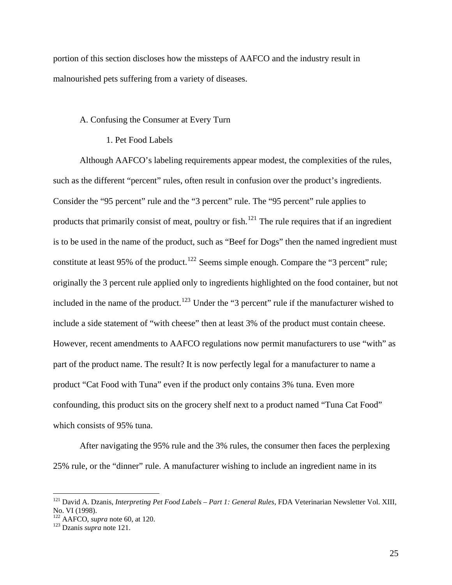<span id="page-27-0"></span>portion of this section discloses how the missteps of AAFCO and the industry result in malnourished pets suffering from a variety of diseases.

#### A. Confusing the Consumer at Every Turn

#### 1. Pet Food Labels

Although AAFCO's labeling requirements appear modest, the complexities of the rules, such as the different "percent" rules, often result in confusion over the product's ingredients. Consider the "95 percent" rule and the "3 percent" rule. The "95 percent" rule applies to products that primarily consist of meat, poultry or fish.<sup>[121](#page-27-1)</sup> The rule requires that if an ingredient is to be used in the name of the product, such as "Beef for Dogs" then the named ingredient must constitute at least 95% of the product.<sup>[122](#page-27-2)</sup> Seems simple enough. Compare the "3 percent" rule; originally the 3 percent rule applied only to ingredients highlighted on the food container, but not included in the name of the product.<sup>[123](#page-27-3)</sup> Under the "3 percent" rule if the manufacturer wished to include a side statement of "with cheese" then at least 3% of the product must contain cheese. However, recent amendments to AAFCO regulations now permit manufacturers to use "with" as part of the product name. The result? It is now perfectly legal for a manufacturer to name a product "Cat Food with Tuna" even if the product only contains 3% tuna. Even more confounding, this product sits on the grocery shelf next to a product named "Tuna Cat Food" which consists of 95% tuna.

After navigating the 95% rule and the 3% rules, the consumer then faces the perplexing 25% rule, or the "dinner" rule. A manufacturer wishing to include an ingredient name in its

<span id="page-27-1"></span><sup>121</sup> David A. Dzanis, *Interpreting Pet Food Labels – Part 1: General Rules*, FDA Veterinarian Newsletter Vol. XIII, No. VI (1998).

<span id="page-27-2"></span><sup>&</sup>lt;sup>122</sup> AAFCO, *supra* note 60, at 120.<br><sup>123</sup> Dzanis *supra* note 121.

<span id="page-27-3"></span>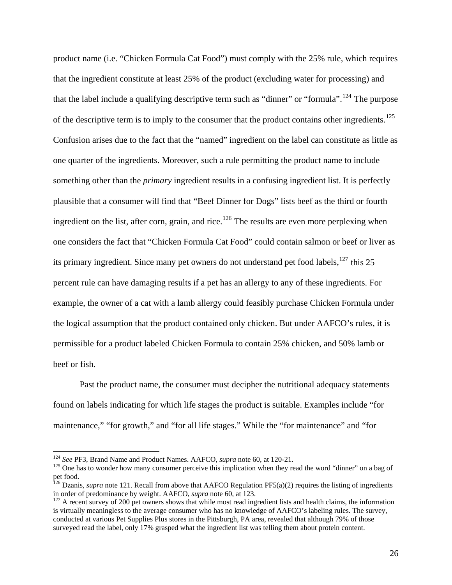product name (i.e. "Chicken Formula Cat Food") must comply with the 25% rule, which requires that the ingredient constitute at least 25% of the product (excluding water for processing) and that the label include a qualifying descriptive term such as "dinner" or "formula".<sup>[124](#page-28-0)</sup> The purpose of the descriptive term is to imply to the consumer that the product contains other ingredients.<sup>[125](#page-28-1)</sup> Confusion arises due to the fact that the "named" ingredient on the label can constitute as little as one quarter of the ingredients. Moreover, such a rule permitting the product name to include something other than the *primary* ingredient results in a confusing ingredient list. It is perfectly plausible that a consumer will find that "Beef Dinner for Dogs" lists beef as the third or fourth ingredient on the list, after corn, grain, and rice.<sup>[126](#page-28-2)</sup> The results are even more perplexing when one considers the fact that "Chicken Formula Cat Food" could contain salmon or beef or liver as its primary ingredient. Since many pet owners do not understand pet food labels, $127$  this 25 percent rule can have damaging results if a pet has an allergy to any of these ingredients. For example, the owner of a cat with a lamb allergy could feasibly purchase Chicken Formula under the logical assumption that the product contained only chicken. But under AAFCO's rules, it is permissible for a product labeled Chicken Formula to contain 25% chicken, and 50% lamb or beef or fish.

Past the product name, the consumer must decipher the nutritional adequacy statements found on labels indicating for which life stages the product is suitable. Examples include "for maintenance," "for growth," and "for all life stages." While the "for maintenance" and "for

<span id="page-28-1"></span>

<span id="page-28-0"></span><sup>&</sup>lt;sup>124</sup> *See* PF3, Brand Name and Product Names. AAFCO, *supra* note 60, at 120-21.<br><sup>125</sup> One has to wonder how many consumer perceive this implication when they read the word "dinner" on a bag of pet food.

<span id="page-28-2"></span><sup>&</sup>lt;sup>126</sup> Dzanis, *supra* note 121. Recall from above that AAFCO Regulation PF5(a)(2) requires the listing of ingredients in order of predominance by weight. AAFCO, *supra* note 60, at 123.<br><sup>127</sup> A recent survey of 200 pet owners shows that while most read ingredient lists and health claims, the information

<span id="page-28-3"></span>is virtually meaningless to the average consumer who has no knowledge of AAFCO's labeling rules. The survey, conducted at various Pet Supplies Plus stores in the Pittsburgh, PA area, revealed that although 79% of those surveyed read the label, only 17% grasped what the ingredient list was telling them about protein content.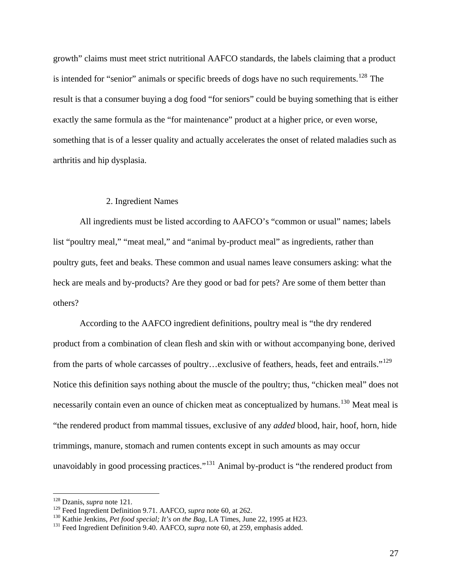<span id="page-29-0"></span>growth" claims must meet strict nutritional AAFCO standards, the labels claiming that a product is intended for "senior" animals or specific breeds of dogs have no such requirements.<sup>[128](#page-29-1)</sup> The result is that a consumer buying a dog food "for seniors" could be buying something that is either exactly the same formula as the "for maintenance" product at a higher price, or even worse, something that is of a lesser quality and actually accelerates the onset of related maladies such as arthritis and hip dysplasia.

# 2. Ingredient Names

All ingredients must be listed according to AAFCO's "common or usual" names; labels list "poultry meal," "meat meal," and "animal by-product meal" as ingredients, rather than poultry guts, feet and beaks. These common and usual names leave consumers asking: what the heck are meals and by-products? Are they good or bad for pets? Are some of them better than others?

According to the AAFCO ingredient definitions, poultry meal is "the dry rendered product from a combination of clean flesh and skin with or without accompanying bone, derived from the parts of whole carcasses of poultry…exclusive of feathers, heads, feet and entrails."<sup>[129](#page-29-2)</sup> Notice this definition says nothing about the muscle of the poultry; thus, "chicken meal" does not necessarily contain even an ounce of chicken meat as conceptualized by humans.<sup>[130](#page-29-3)</sup> Meat meal is "the rendered product from mammal tissues, exclusive of any *added* blood, hair, hoof, horn, hide trimmings, manure, stomach and rumen contents except in such amounts as may occur unavoidably in good processing practices."<sup>[131](#page-29-4)</sup> Animal by-product is "the rendered product from

<u>.</u>

<span id="page-29-2"></span><span id="page-29-1"></span><sup>&</sup>lt;sup>128</sup> Dzanis, *supra* note 121.<br><sup>129</sup> Feed Ingredient Definition 9.71. AAFCO, *supra* note 60, at 262.

<span id="page-29-3"></span><sup>&</sup>lt;sup>130</sup> Kathie Jenkins, *Pet food special; It's on the Bag*, LA Times, June 22, 1995 at H23.<br><sup>131</sup> Feed Ingredient Definition 9.40. AAFCO, *supra* note 60, at 259, emphasis added.

<span id="page-29-4"></span>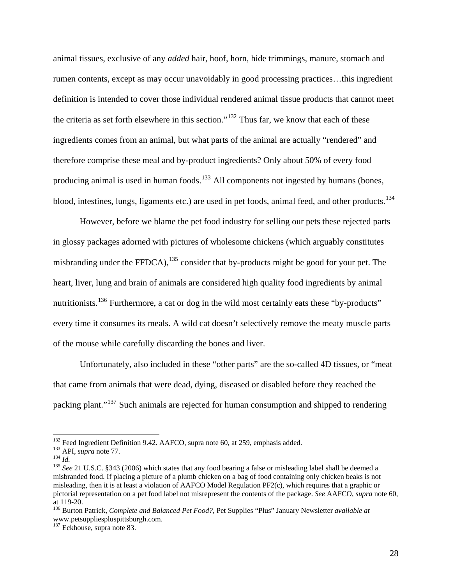animal tissues, exclusive of any *added* hair, hoof, horn, hide trimmings, manure, stomach and rumen contents, except as may occur unavoidably in good processing practices…this ingredient definition is intended to cover those individual rendered animal tissue products that cannot meet the criteria as set forth elsewhere in this section."[132](#page-30-0) Thus far, we know that each of these ingredients comes from an animal, but what parts of the animal are actually "rendered" and therefore comprise these meal and by-product ingredients? Only about 50% of every food producing animal is used in human foods.<sup>[133](#page-30-1)</sup> All components not ingested by humans (bones, blood, intestines, lungs, ligaments etc.) are used in pet foods, animal feed, and other products.<sup>[134](#page-30-2)</sup>

However, before we blame the pet food industry for selling our pets these rejected parts in glossy packages adorned with pictures of wholesome chickens (which arguably constitutes misbranding under the FFDCA),<sup>[135](#page-30-3)</sup> consider that by-products might be good for your pet. The heart, liver, lung and brain of animals are considered high quality food ingredients by animal nutritionists.<sup>[136](#page-30-4)</sup> Furthermore, a cat or dog in the wild most certainly eats these "by-products" every time it consumes its meals. A wild cat doesn't selectively remove the meaty muscle parts of the mouse while carefully discarding the bones and liver.

Unfortunately, also included in these "other parts" are the so-called 4D tissues, or "meat that came from animals that were dead, dying, diseased or disabled before they reached the packing plant."[137](#page-30-5) Such animals are rejected for human consumption and shipped to rendering

<span id="page-30-1"></span>

<span id="page-30-3"></span><span id="page-30-2"></span>

<span id="page-30-0"></span><sup>&</sup>lt;sup>132</sup> Feed Ingredient Definition 9.42. AAFCO, supra note 60, at 259, emphasis added.<br><sup>133</sup> API, *supra* note 77.<br><sup>134</sup> *Id.*<br><sup>135</sup> See 21 U.S.C. §343 (2006) which states that any food bearing a false or misleading label s misbranded food. If placing a picture of a plumb chicken on a bag of food containing only chicken beaks is not misleading, then it is at least a violation of AAFCO Model Regulation PF2(c), which requires that a graphic or pictorial representation on a pet food label not misrepresent the contents of the package. *See* AAFCO, *supra* note 60, at 119-20.

<span id="page-30-4"></span><sup>136</sup> Burton Patrick, *Complete and Balanced Pet Food?,* Pet Supplies "Plus" January Newsletter *available at* www.petsuppliespluspittsburgh.com.

<span id="page-30-5"></span><sup>&</sup>lt;sup>137</sup> Eckhouse, supra note 83.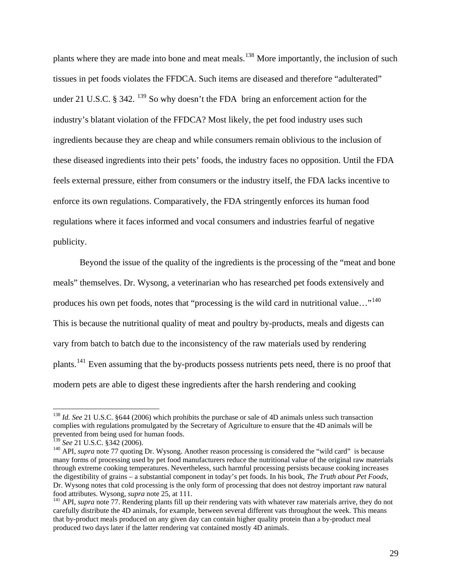plants where they are made into bone and meat meals.<sup>[138](#page-31-0)</sup> More importantly, the inclusion of such tissues in pet foods violates the FFDCA. Such items are diseased and therefore "adulterated" under 21 U.S.C.  $\S$  342. <sup>[139](#page-31-1)</sup> So why doesn't the FDA bring an enforcement action for the industry's blatant violation of the FFDCA? Most likely, the pet food industry uses such ingredients because they are cheap and while consumers remain oblivious to the inclusion of these diseased ingredients into their pets' foods, the industry faces no opposition. Until the FDA feels external pressure, either from consumers or the industry itself, the FDA lacks incentive to enforce its own regulations. Comparatively, the FDA stringently enforces its human food regulations where it faces informed and vocal consumers and industries fearful of negative publicity.

Beyond the issue of the quality of the ingredients is the processing of the "meat and bone meals" themselves. Dr. Wysong, a veterinarian who has researched pet foods extensively and produces his own pet foods, notes that "processing is the wild card in nutritional value..."<sup>[140](#page-31-2)</sup> This is because the nutritional quality of meat and poultry by-products, meals and digests can vary from batch to batch due to the inconsistency of the raw materials used by rendering plants.[141](#page-31-3) Even assuming that the by-products possess nutrients pets need, there is no proof that modern pets are able to digest these ingredients after the harsh rendering and cooking

<span id="page-31-0"></span><sup>&</sup>lt;sup>138</sup> *Id.* See 21 U.S.C. §644 (2006) which prohibits the purchase or sale of 4D animals unless such transaction complies with regulations promulgated by the Secretary of Agriculture to ensure that the 4D animals will be prevented from being used for human foods.<br><sup>139</sup> See 21 U.S.C. §342 (2006).

<span id="page-31-2"></span><span id="page-31-1"></span><sup>&</sup>lt;sup>140</sup> API, *supra* note 77 quoting Dr. Wysong. Another reason processing is considered the "wild card" is because many forms of processing used by pet food manufacturers reduce the nutritional value of the original raw materials through extreme cooking temperatures. Nevertheless, such harmful processing persists because cooking increases the digestibility of grains – a substantial component in today's pet foods. In his book, *The Truth about Pet Foods*, Dr. Wysong notes that cold processing is the only form of processing that does not destroy important raw natural food attributes. Wysong, *supra* note 25, at 111.<br><sup>141</sup> API, *supra* note 77. Rendering plants fill up their rendering vats with whatever raw materials arrive, they do not

<span id="page-31-3"></span>carefully distribute the 4D animals, for example, between several different vats throughout the week. This means that by-product meals produced on any given day can contain higher quality protein than a by-product meal produced two days later if the latter rendering vat contained mostly 4D animals.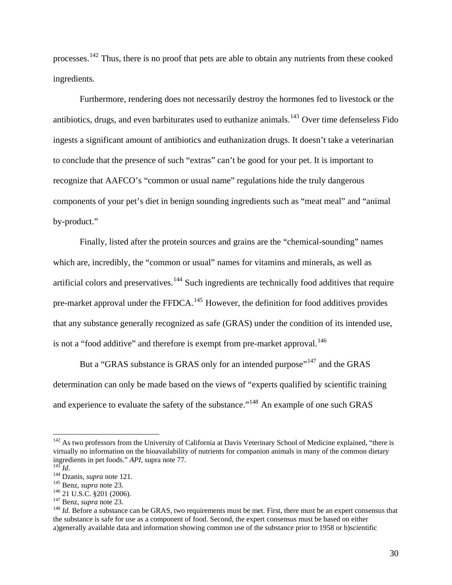processes.<sup>[142](#page-32-0)</sup> Thus, there is no proof that pets are able to obtain any nutrients from these cooked ingredients.

Furthermore, rendering does not necessarily destroy the hormones fed to livestock or the antibiotics, drugs, and even barbiturates used to euthanize animals.<sup>[143](#page-32-1)</sup> Over time defenseless Fido ingests a significant amount of antibiotics and euthanization drugs. It doesn't take a veterinarian to conclude that the presence of such "extras" can't be good for your pet. It is important to recognize that AAFCO's "common or usual name" regulations hide the truly dangerous components of your pet's diet in benign sounding ingredients such as "meat meal" and "animal by-product."

Finally, listed after the protein sources and grains are the "chemical-sounding" names which are, incredibly, the "common or usual" names for vitamins and minerals, as well as artificial colors and preservatives.<sup>[144](#page-32-2)</sup> Such ingredients are technically food additives that require pre-market approval under the FFDCA.<sup>[145](#page-32-3)</sup> However, the definition for food additives provides that any substance generally recognized as safe (GRAS) under the condition of its intended use, is not a "food additive" and therefore is exempt from pre-market approval.<sup>[146](#page-32-4)</sup>

But a "GRAS substance is GRAS only for an intended purpose"<sup>[147](#page-32-5)</sup> and the GRAS determination can only be made based on the views of "experts qualified by scientific training and experience to evaluate the safety of the substance."<sup>[148](#page-32-6)</sup> An example of one such GRAS

<span id="page-32-0"></span><sup>&</sup>lt;sup>142</sup> As two professors from the University of California at Davis Veterinary School of Medicine explained, "there is virtually no information on the bioavailability of nutrients for companion animals in many of the common dietary ingredients in pet foods." API, supra note 77.

<span id="page-32-3"></span>

<span id="page-32-4"></span>

<span id="page-32-6"></span><span id="page-32-5"></span>

<span id="page-32-2"></span><span id="page-32-1"></span><sup>&</sup>lt;sup>143</sup> *Id.*<br>
<sup>144</sup> Dzanis, *supra* note 121.<br>
<sup>145</sup> Benz, *supra* note 23.<br>
<sup>146</sup> 21 U.S.C. §201 (2006).<br>
<sup>147</sup> Benz, *supra* note 23.<br>
<sup>147</sup> Benz, *supra* note 23.<br>
<sup>148</sup> *Id.* Before a substance can be GRAS, two require the substance is safe for use as a component of food. Second, the expert consensus must be based on either a)generally available data and information showing common use of the substance prior to 1958 or b)scientific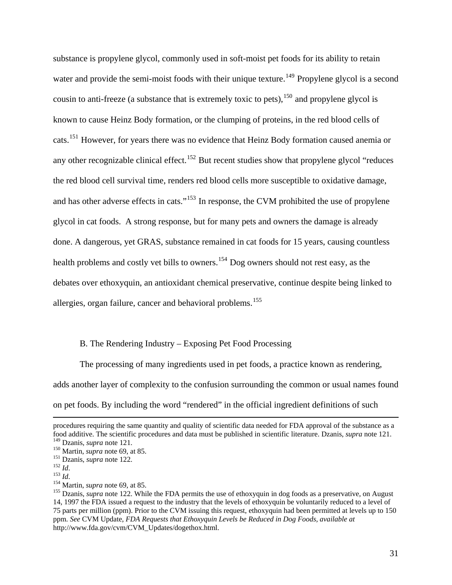<span id="page-33-0"></span>substance is propylene glycol, commonly used in soft-moist pet foods for its ability to retain water and provide the semi-moist foods with their unique texture.<sup>[149](#page-33-1)</sup> Propylene glycol is a second cousin to anti-freeze (a substance that is extremely toxic to pets),  $150$  and propylene glycol is known to cause Heinz Body formation, or the clumping of proteins, in the red blood cells of cats.[151](#page-33-3) However, for years there was no evidence that Heinz Body formation caused anemia or any other recognizable clinical effect.<sup>[152](#page-33-4)</sup> But recent studies show that propylene glycol "reduces" the red blood cell survival time, renders red blood cells more susceptible to oxidative damage, and has other adverse effects in cats."<sup>[153](#page-33-5)</sup> In response, the CVM prohibited the use of propylene glycol in cat foods. A strong response, but for many pets and owners the damage is already done. A dangerous, yet GRAS, substance remained in cat foods for 15 years, causing countless health problems and costly vet bills to owners.<sup>[154](#page-33-6)</sup> Dog owners should not rest easy, as the debates over ethoxyquin, an antioxidant chemical preservative, continue despite being linked to allergies, organ failure, cancer and behavioral problems.<sup>155</sup>

# B. The Rendering Industry – Exposing Pet Food Processing

The processing of many ingredients used in pet foods, a practice known as rendering, adds another layer of complexity to the confusion surrounding the common or usual names found on pet foods. By including the word "rendered" in the official ingredient definitions of such

procedures requiring the same quantity and quality of scientific data needed for FDA approval of the substance as a food additive. The scientific procedures and data must be published in scientific literature. Dzanis, *supra* note 121.

<span id="page-33-5"></span><span id="page-33-4"></span>

<span id="page-33-6"></span>

<span id="page-33-3"></span><span id="page-33-2"></span><span id="page-33-1"></span><sup>&</sup>lt;sup>150</sup> Martin, *supra* note 69, at 85.<br>
<sup>151</sup> Dzanis, *supra* note 122.<br>
<sup>152</sup> *Id.*<br>
<sup>152</sup> *Id.*<br>
<sup>153</sup> *Id.*<br>
<sup>153</sup> Martin, *supra* note 69, at 85.<br>
<sup>154</sup> Martin, *supra* note 69, at 85. 14, 1997 the FDA issued a request to the industry that the levels of ethoxyquin be voluntarily reduced to a level of 75 parts per million (ppm). Prior to the CVM issuing this request, ethoxyquin had been permitted at levels up to 150 ppm. *See* CVM Update, *FDA Requests that Ethoxyquin Levels be Reduced in Dog Foods, available at* http://www.fda.gov/cvm/CVM\_Updates/dogethox.html.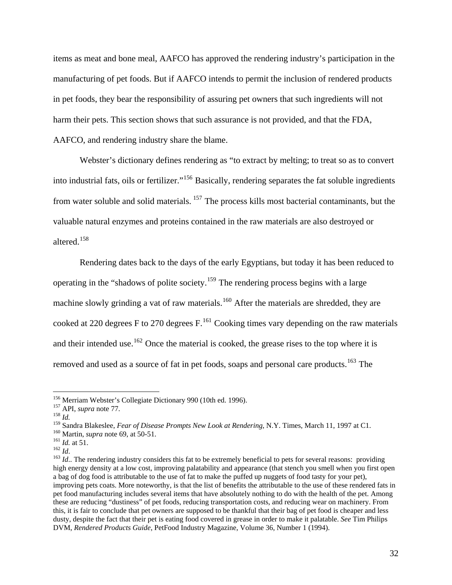items as meat and bone meal, AAFCO has approved the rendering industry's participation in the manufacturing of pet foods. But if AAFCO intends to permit the inclusion of rendered products in pet foods, they bear the responsibility of assuring pet owners that such ingredients will not harm their pets. This section shows that such assurance is not provided, and that the FDA, AAFCO, and rendering industry share the blame.

Webster's dictionary defines rendering as "to extract by melting; to treat so as to convert into industrial fats, oils or fertilizer."[156](#page-34-0) Basically, rendering separates the fat soluble ingredients from water soluble and solid materials. [157](#page-34-1) The process kills most bacterial contaminants, but the valuable natural enzymes and proteins contained in the raw materials are also destroyed or altered.[158](#page-34-2)

Rendering dates back to the days of the early Egyptians, but today it has been reduced to operating in the "shadows of polite society.<sup>[159](#page-34-3)</sup> The rendering process begins with a large machine slowly grinding a vat of raw materials.<sup>[160](#page-34-4)</sup> After the materials are shredded, they are cooked at 220 degrees F to 270 degrees  $F<sup>161</sup>$  $F<sup>161</sup>$  $F<sup>161</sup>$  Cooking times vary depending on the raw materials and their intended use.<sup>[162](#page-34-6)</sup> Once the material is cooked, the grease rises to the top where it is removed and used as a source of fat in pet foods, soaps and personal care products.<sup>[163](#page-34-7)</sup> The

<span id="page-34-2"></span>

<span id="page-34-1"></span><span id="page-34-0"></span><sup>&</sup>lt;sup>156</sup> Merriam Webster's Collegiate Dictionary 990 (10th ed. 1996).<br><sup>157</sup> API, *supra* note 77.<br><sup>158</sup> *Id.*<br><sup>159</sup> Sandra Blakeslee, *Fear of Disease Prompts New Look at Rendering*, N.Y. Times, March 11, 1997 at C1.

<span id="page-34-7"></span><span id="page-34-6"></span>

<span id="page-34-5"></span><span id="page-34-4"></span><span id="page-34-3"></span><sup>&</sup>lt;sup>160</sup> Martin, *supra* note 69, at 50-51.<br><sup>161</sup> *Id.* at 51.<br><sup>162</sup> *Id.*<br><sup>162</sup> *Id.* The rendering industry considers this fat to be extremely beneficial to pets for several reasons: providing <sup>163</sup> *Id.*. The rendering in high energy density at a low cost, improving palatability and appearance (that stench you smell when you first open a bag of dog food is attributable to the use of fat to make the puffed up nuggets of food tasty for your pet), improving pets coats. More noteworthy, is that the list of benefits the attributable to the use of these rendered fats in pet food manufacturing includes several items that have absolutely nothing to do with the health of the pet. Among these are reducing "dustiness" of pet foods, reducing transportation costs, and reducing wear on machinery. From this, it is fair to conclude that pet owners are supposed to be thankful that their bag of pet food is cheaper and less dusty, despite the fact that their pet is eating food covered in grease in order to make it palatable. *See* Tim Philips DVM, *Rendered Products Guide*, PetFood Industry Magazine, Volume 36, Number 1 (1994).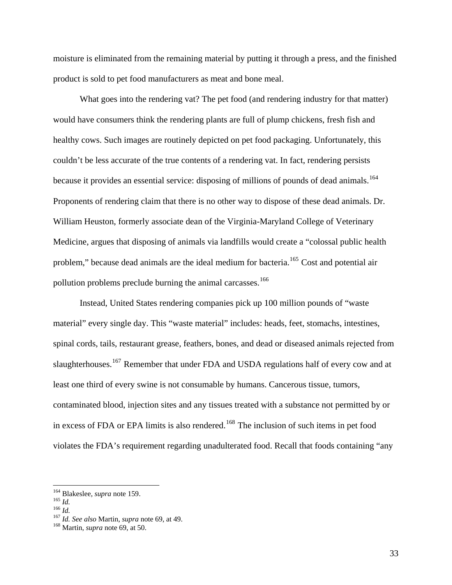moisture is eliminated from the remaining material by putting it through a press, and the finished product is sold to pet food manufacturers as meat and bone meal.

What goes into the rendering vat? The pet food (and rendering industry for that matter) would have consumers think the rendering plants are full of plump chickens, fresh fish and healthy cows. Such images are routinely depicted on pet food packaging. Unfortunately, this couldn't be less accurate of the true contents of a rendering vat. In fact, rendering persists because it provides an essential service: disposing of millions of pounds of dead animals.<sup>[164](#page-35-0)</sup> Proponents of rendering claim that there is no other way to dispose of these dead animals. Dr. William Heuston, formerly associate dean of the Virginia-Maryland College of Veterinary Medicine, argues that disposing of animals via landfills would create a "colossal public health problem," because dead animals are the ideal medium for bacteria.<sup>[165](#page-35-1)</sup> Cost and potential air pollution problems preclude burning the animal carcasses.<sup>[166](#page-35-2)</sup>

Instead, United States rendering companies pick up 100 million pounds of "waste material" every single day. This "waste material" includes: heads, feet, stomachs, intestines, spinal cords, tails, restaurant grease, feathers, bones, and dead or diseased animals rejected from slaughterhouses.[167](#page-35-3) Remember that under FDA and USDA regulations half of every cow and at least one third of every swine is not consumable by humans. Cancerous tissue, tumors, contaminated blood, injection sites and any tissues treated with a substance not permitted by or in excess of FDA or EPA limits is also rendered.<sup>[168](#page-35-4)</sup> The inclusion of such items in pet food violates the FDA's requirement regarding unadulterated food. Recall that foods containing "any

<sup>&</sup>lt;sup>164</sup> Blakeslee, *supra* note 159.

<span id="page-35-3"></span><span id="page-35-2"></span>

<span id="page-35-1"></span><span id="page-35-0"></span><sup>165</sup> *Id.*<br><sup>166</sup> *Id.* 166 *Id.* 166 *Id.* 167 *Id. See also* Martin, *supra* note 69, at 49. 168 Martin, *supra* note 69, at 50.

<span id="page-35-4"></span>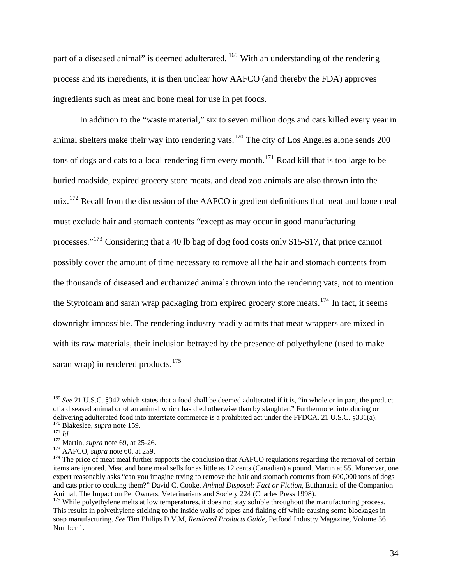part of a diseased animal" is deemed adulterated. <sup>[169](#page-36-0)</sup> With an understanding of the rendering process and its ingredients, it is then unclear how AAFCO (and thereby the FDA) approves ingredients such as meat and bone meal for use in pet foods.

In addition to the "waste material," six to seven million dogs and cats killed every year in animal shelters make their way into rendering vats.<sup>[170](#page-36-1)</sup> The city of Los Angeles alone sends  $200$ tons of dogs and cats to a local rendering firm every month.<sup>[171](#page-36-2)</sup> Road kill that is too large to be buried roadside, expired grocery store meats, and dead zoo animals are also thrown into the  $mix<sup>172</sup>$  $mix<sup>172</sup>$  $mix<sup>172</sup>$  Recall from the discussion of the AAFCO ingredient definitions that meat and bone meal must exclude hair and stomach contents "except as may occur in good manufacturing processes."[173](#page-36-4) Considering that a 40 lb bag of dog food costs only \$15-\$17, that price cannot possibly cover the amount of time necessary to remove all the hair and stomach contents from the thousands of diseased and euthanized animals thrown into the rendering vats, not to mention the Styrofoam and saran wrap packaging from expired grocery store meats.<sup>[174](#page-36-5)</sup> In fact, it seems downright impossible. The rendering industry readily admits that meat wrappers are mixed in with its raw materials, their inclusion betrayed by the presence of polyethylene (used to make saran wrap) in rendered products.<sup>[175](#page-36-6)</sup>

<span id="page-36-0"></span><sup>&</sup>lt;sup>169</sup> See 21 U.S.C. §342 which states that a food shall be deemed adulterated if it is, "in whole or in part, the product of a diseased animal or of an animal which has died otherwise than by slaughter." Furthermore, introducing or delivering adulterated food into interstate commerce is a prohibited act under the FFDCA. 21 U.S.C. §331(a).<br>
<sup>170</sup> Blakeslee, *supra* note 159.<br>
<sup>171</sup> Id.<br>
<sup>172</sup> Martin, *supra* note 69, at 25-26.<br>
<sup>173</sup> AAFCO, *supra* n

<span id="page-36-2"></span><span id="page-36-1"></span>

<span id="page-36-3"></span>

<span id="page-36-5"></span><span id="page-36-4"></span>items are ignored. Meat and bone meal sells for as little as 12 cents (Canadian) a pound. Martin at 55. Moreover, one expert reasonably asks "can you imagine trying to remove the hair and stomach contents from 600,000 tons of dogs and cats prior to cooking them?" David C. Cooke, *Animal Disposal: Fact or Fiction*, Euthanasia of the Companion Animal, The Impact on Pet Owners, Veterinarians and Society 224 (Charles Press 1998).<br><sup>175</sup> While polyethylene melts at low temperatures, it does not stay soluble throughout the manufacturing process.

<span id="page-36-6"></span>This results in polyethylene sticking to the inside walls of pipes and flaking off while causing some blockages in soap manufacturing. *See* Tim Philips D.V.M, *Rendered Products Guide*, Petfood Industry Magazine, Volume 36 Number 1.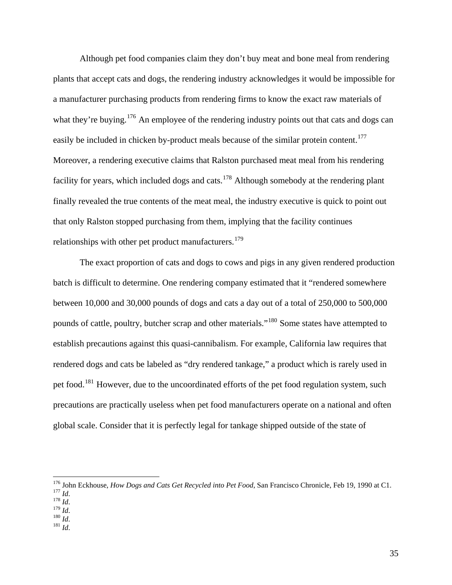Although pet food companies claim they don't buy meat and bone meal from rendering plants that accept cats and dogs, the rendering industry acknowledges it would be impossible for a manufacturer purchasing products from rendering firms to know the exact raw materials of what they're buying.<sup>[176](#page-37-0)</sup> An employee of the rendering industry points out that cats and dogs can easily be included in chicken by-product meals because of the similar protein content.<sup>[177](#page-37-1)</sup> Moreover, a rendering executive claims that Ralston purchased meat meal from his rendering facility for years, which included dogs and cats.<sup>[178](#page-37-2)</sup> Although somebody at the rendering plant finally revealed the true contents of the meat meal, the industry executive is quick to point out that only Ralston stopped purchasing from them, implying that the facility continues relationships with other pet product manufacturers.<sup>[179](#page-37-3)</sup>

The exact proportion of cats and dogs to cows and pigs in any given rendered production batch is difficult to determine. One rendering company estimated that it "rendered somewhere between 10,000 and 30,000 pounds of dogs and cats a day out of a total of 250,000 to 500,000 pounds of cattle, poultry, butcher scrap and other materials."<sup>[180](#page-37-4)</sup> Some states have attempted to establish precautions against this quasi-cannibalism. For example, California law requires that rendered dogs and cats be labeled as "dry rendered tankage," a product which is rarely used in pet food.<sup>[181](#page-37-5)</sup> However, due to the uncoordinated efforts of the pet food regulation system, such precautions are practically useless when pet food manufacturers operate on a national and often global scale. Consider that it is perfectly legal for tankage shipped outside of the state of

- <span id="page-37-4"></span><span id="page-37-3"></span><span id="page-37-2"></span>
- <span id="page-37-5"></span>

<span id="page-37-1"></span><span id="page-37-0"></span><sup>&</sup>lt;sup>176</sup> John Eckhouse, *How Dogs and Cats Get Recycled into Pet Food*, San Francisco Chronicle, Feb 19, 1990 at C1.<br><sup>177</sup> *Id*. <sup>178</sup> *Id*. <sup>178</sup> *Id*. <sup>179</sup> *Id*. <sup>180</sup> *Id*. <sup>180</sup> *Id*. <sup>180</sup> *Id*. <sup>180</sup> *Id*. <sup>181</sup> *Id*.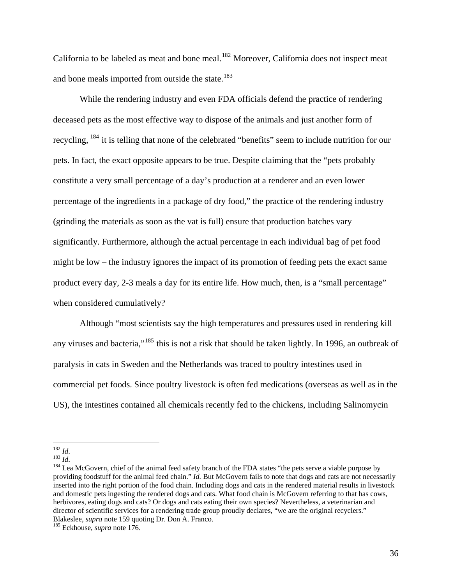California to be labeled as meat and bone meal.<sup>[182](#page-38-0)</sup> Moreover, California does not inspect meat and bone meals imported from outside the state.<sup>[183](#page-38-1)</sup>

While the rendering industry and even FDA officials defend the practice of rendering deceased pets as the most effective way to dispose of the animals and just another form of recycling, <sup>[184](#page-38-2)</sup> it is telling that none of the celebrated "benefits" seem to include nutrition for our pets. In fact, the exact opposite appears to be true. Despite claiming that the "pets probably constitute a very small percentage of a day's production at a renderer and an even lower percentage of the ingredients in a package of dry food," the practice of the rendering industry (grinding the materials as soon as the vat is full) ensure that production batches vary significantly. Furthermore, although the actual percentage in each individual bag of pet food might be low – the industry ignores the impact of its promotion of feeding pets the exact same product every day, 2-3 meals a day for its entire life. How much, then, is a "small percentage" when considered cumulatively?

Although "most scientists say the high temperatures and pressures used in rendering kill any viruses and bacteria,"<sup>[185](#page-38-3)</sup> this is not a risk that should be taken lightly. In 1996, an outbreak of paralysis in cats in Sweden and the Netherlands was traced to poultry intestines used in commercial pet foods. Since poultry livestock is often fed medications (overseas as well as in the US), the intestines contained all chemicals recently fed to the chickens, including Salinomycin

<span id="page-38-0"></span> $182$  *Id.* 

<span id="page-38-2"></span><span id="page-38-1"></span><sup>183</sup> *Id*.<br><sup>183</sup> *Id*. 184 Lea McGovern, chief of the animal feed safety branch of the FDA states "the pets serve a viable purpose by providing foodstuff for the animal feed chain." *Id*. But McGovern fails to note that dogs and cats are not necessarily inserted into the right portion of the food chain. Including dogs and cats in the rendered material results in livestock and domestic pets ingesting the rendered dogs and cats. What food chain is McGovern referring to that has cows, herbivores, eating dogs and cats? Or dogs and cats eating their own species? Nevertheless, a veterinarian and director of scientific services for a rendering trade group proudly declares, "we are the original recyclers." Blakeslee, *supra* note 159 quoting Dr. Don A. Franco. 185 Eckhouse, *supra* note 176.

<span id="page-38-3"></span>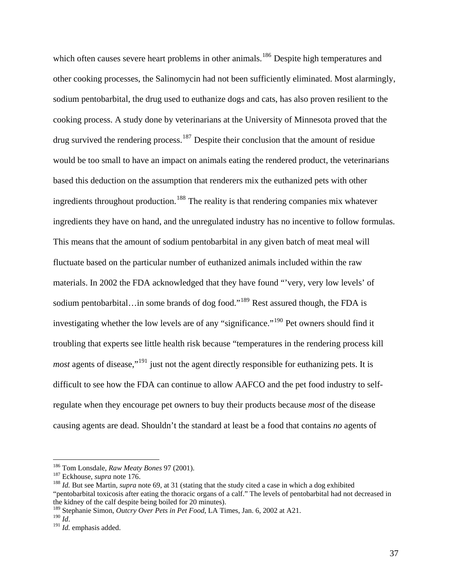which often causes severe heart problems in other animals.<sup>[186](#page-39-0)</sup> Despite high temperatures and other cooking processes, the Salinomycin had not been sufficiently eliminated. Most alarmingly, sodium pentobarbital, the drug used to euthanize dogs and cats, has also proven resilient to the cooking process. A study done by veterinarians at the University of Minnesota proved that the drug survived the rendering process.<sup>[187](#page-39-1)</sup> Despite their conclusion that the amount of residue would be too small to have an impact on animals eating the rendered product, the veterinarians based this deduction on the assumption that renderers mix the euthanized pets with other ingredients throughout production.<sup>[188](#page-39-2)</sup> The reality is that rendering companies mix whatever ingredients they have on hand, and the unregulated industry has no incentive to follow formulas. This means that the amount of sodium pentobarbital in any given batch of meat meal will fluctuate based on the particular number of euthanized animals included within the raw materials. In 2002 the FDA acknowledged that they have found "'very, very low levels' of sodium pentobarbital…in some brands of dog food."<sup>[189](#page-39-3)</sup> Rest assured though, the FDA is investigating whether the low levels are of any "significance."<sup>[190](#page-39-4)</sup> Pet owners should find it troubling that experts see little health risk because "temperatures in the rendering process kill *most* agents of disease,"<sup>[191](#page-39-5)</sup> just not the agent directly responsible for euthanizing pets. It is difficult to see how the FDA can continue to allow AAFCO and the pet food industry to selfregulate when they encourage pet owners to buy their products because *most* of the disease causing agents are dead. Shouldn't the standard at least be a food that contains *no* agents of

<span id="page-39-2"></span>

<span id="page-39-1"></span><span id="page-39-0"></span><sup>&</sup>lt;sup>186</sup> Tom Lonsdale, *Raw Meaty Bones* 97 (2001).<br><sup>187</sup> Eckhouse, *supra* note 176.<br><sup>188</sup> *Id*. But see Martin, *supra* note 69, at 31 (stating that the study cited a case in which a dog exhibited "pentobarbital toxicosis after eating the thoracic organs of a calf." The levels of pentobarbital had not decreased in the kidney of the calf despite being boiled for 20 minutes).

<span id="page-39-3"></span><sup>&</sup>lt;sup>189</sup> Stephanie Simon, *Outcry Over Pets in Pet Food*, LA Times, Jan. 6, 2002 at A21.<br><sup>190</sup> *M* 

<span id="page-39-4"></span>

<span id="page-39-5"></span><sup>&</sup>lt;sup>191</sup> *Id.* emphasis added.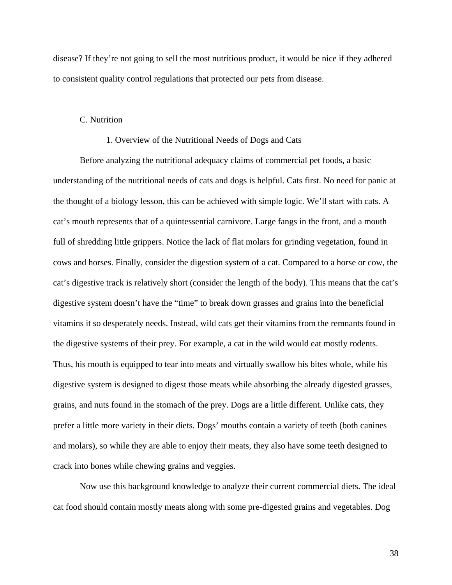<span id="page-40-0"></span>disease? If they're not going to sell the most nutritious product, it would be nice if they adhere d to consistent qu ality control regulations that protected our pets from disease.

#### C. Nutrition

#### 1. Overview of the Nutritional Needs of Dogs and Cats

 Before analyzing the nutritional adequacy claims of commercial pet foods, a basic understanding of the nutritional needs of cats and dogs is helpful. Cats first. No need for panic at the thought of a biology lesson, this can be achieved with simple logic. We'll start with cats. A cat's mouth represents that of a quintessential carnivore. Large fangs in the front, and a mouth full of shredding little grippers. Notice the lack of flat molars for grinding vegetation, found in cows and horses. Finally, consider the digestion system of a cat. Compared to a horse or cow, the cat's digestive track is relatively short (consider the length of the body). This means that the cat's digestive system doesn't have the "time" to break down grasses and grains into the beneficial vitamins it so desperately needs. Instead, wild cats get their vitamins from the remnants found in the digestive systems of their prey. For example, a cat in the wild would eat mostly rodents. Thus, his mouth is equipped to tear into meats and virtually swallow his bites whole, while his digestive system is designed to digest those meats while absorbing the already digested grasses, grains, and nuts found in the stomach of the prey. Dogs are a little different. Unlike cats, they prefer a little more variety in their diets. Dogs' mouths contain a variety of teeth (both canines and molars), so while they are able to enjoy their meats, they also have some teeth designed to crack into bones while chewing grains and veggies.

 Now use this background knowledge to analyze their current commercial diets. The ideal cat food should contain mostly meats along with some pre-digested grains and vegetables. Dog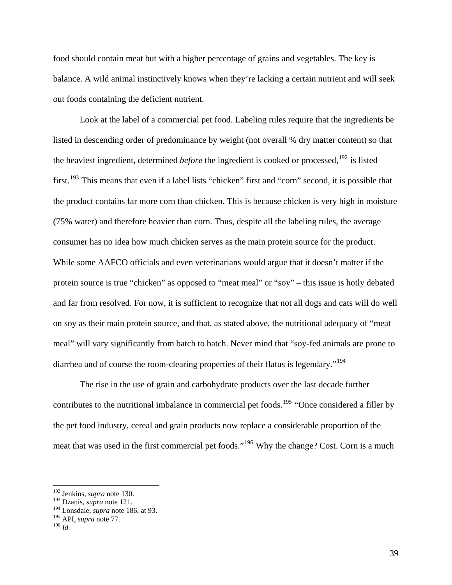food should contain meat but with a higher percentage of grains and vegetables. The key is balance. A wild animal instinctively knows when they're lacking a certain nutrient and will seek out foods containing the deficient nutrient.

 Look at the label of a commercial pet food. Labeling rules require that the ingredients be listed in descending order of predominance by weight (not overall % dry matter content) so that the heaviest ingredient, determined *before* the ingredient is cooked or processed,<sup>[192](#page-41-0)</sup> is listed first.<sup>[193](#page-41-1)</sup> This means that even if a label lists "chicken" first and "corn" second, it is possible that the product contains far more corn than chicken. This is because chicken is very high in moisture (75% water) and therefore heavier than corn. Thus, despite all the labeling rules, the average consumer has no idea how much chicken serves as the main protein source for the product. While some AAFCO officials and even veterinarians would argue that it doesn't matter if the protein source is true "chicken" as opposed to "meat meal" or "soy" – this issue is hotly debated and far from resolved. For now, it is sufficient to recognize that not all dogs and cats will do well on soy as their main protein source, and that, as stated above, the nutritional adequacy of "meat meal" will vary significantly from batch to batch. Never mind that "soy-fed animals are prone to diarrhea and of course the room-clearing properties of their flatus is legendary."[194](#page-41-2)

 The rise in the use of grain and carbohydrate products over the last decade further contributes to the nutritional imbalance in commercial pet foods.<sup>[195](#page-41-3)</sup> "Once considered a filler by the pet food industry, cereal and grain products now replace a considerable proportion of the meat that was used in the first commercial pet foods."<sup>[196](#page-41-4)</sup> Why the change? Cost. Corn is a much

<span id="page-41-0"></span><sup>192</sup> Jenkins, *supra* note 130.

<span id="page-41-1"></span><sup>193</sup> Dzanis, *supra* note 121.

<span id="page-41-2"></span><sup>194</sup> Lonsdale, *supra* note 186, at 93.

<sup>195</sup> API, *supra* note 77.

<span id="page-41-4"></span><span id="page-41-3"></span><sup>196</sup> *Id.*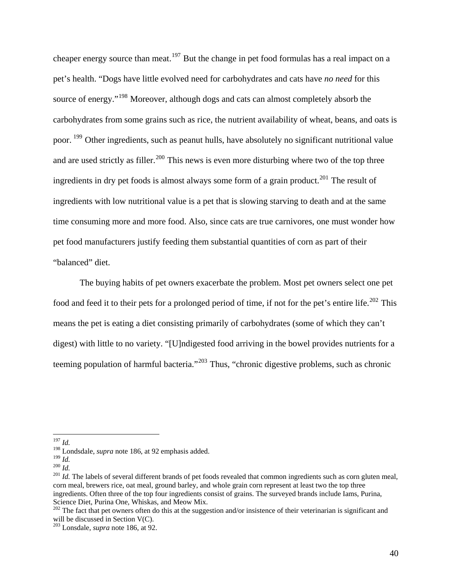cheaper energy source than meat.<sup>[197](#page-42-0)</sup> But the change in pet food formulas has a real impact on a pet's health. "Dogs have little evolved need for carbohydrates and cats have *no need* for this source of energy."<sup>[198](#page-42-1)</sup> Moreover, although dogs and cats can almost completely absorb the carbohydrates from some grains such as rice, the nutrient availability of wheat, beans, and oats is poor. [199](#page-42-2) Other ingredients, such as peanut hulls, have absolutely no significant nutritional value and are used strictly as filler.<sup>[200](#page-42-3)</sup> This news is even more disturbing where two of the top three ingredients in dry pet foods is almost always some form of a grain product.<sup>[201](#page-42-4)</sup> The result of ingredients with low nutritional value is a pet that is slowing starving to death and at the same time consuming more and more food. Also, since cats are true carnivores, one must wonder how pet food manufacturers justify feeding them substantial quantities of corn as part of their "balanced" diet.

 The buying habits of pet owners exacerbate the problem. Most pet owners select one pet food and feed it to their pets for a prolonged period of time, if not for the pet's entire life.<sup>[202](#page-42-5)</sup> This means the pet is eating a diet consisting primarily of carbohydrates (some of which they can't digest) with little to no variety. "[U]ndigested food arriving in the bowel provides nutrients for a teeming population of harmful bacteria."<sup>[203](#page-42-6)</sup> Thus, "chronic digestive problems, such as chronic

<sup>197</sup> *Id.*

<span id="page-42-1"></span><span id="page-42-0"></span><sup>198</sup> Londsdale, *supra* note 186, at 92 emphasis added.

<span id="page-42-4"></span><span id="page-42-3"></span><span id="page-42-2"></span><sup>&</sup>lt;sup>200</sup> *Id.*<br><sup>201</sup> *Id.* The labels of several different brands of pet foods revealed that common ingredients such as corn gluten meal, corn meal, brewers rice, oat meal, ground barley, and whole grain corn represent at least two the top three ingredients. Often three of the top four ingredients consist of grains. The surveyed brands include Iams, Purina, Science Diet, Purina One, Whiskas, and Meow Mix.

<span id="page-42-5"></span> $202$  The fact that pet owners often do this at the suggestion and/or insistence of their veterinarian is significant and will be discussed in Section V(C).

<span id="page-42-6"></span><sup>203</sup> Lonsdale, *supra* note 186, at 92.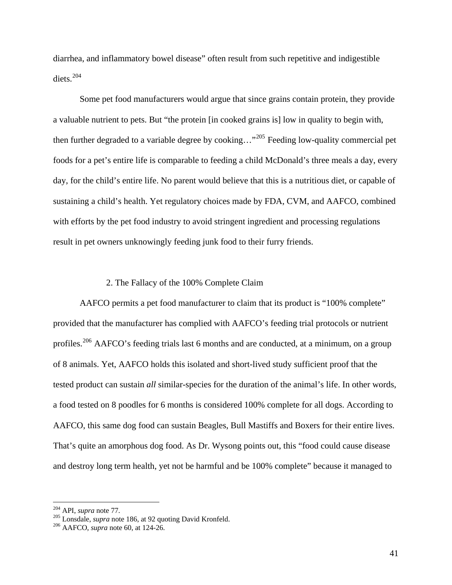<span id="page-43-0"></span>diarrhea, and inflammatory bowel disease" often result from such repetitive and indigestible diets.<sup>[204](#page-43-1)</sup>

 Some pet food manufacturers would argue that since grains contain protein, they provide a valuable nutrient to pets. But "the protein [in cooked grains is] low in quality to begin with, then further degraded to a variable degree by cooking…<sup>"[205](#page-43-2)</sup> Feeding low-quality commercial pet foods for a pet's entire life is comparable to feeding a child McDonald's three meals a day, every day, for the child's entire life. No parent would believe that this is a nutritious diet, or capable of sustaining a child's health. Yet regulatory choices made by FDA, CVM, and AAFCO, combined with efforts by the pet food industry to avoid stringent ingredient and processing regulations result in pet owners unknowingly feeding junk food to their furry friends.

#### 2. The Fallacy of the 100% Complete Claim

 AAFCO permits a pet food manufacturer to claim that its product is "100% complete" provided that the manufacturer has complied with AAFCO's feeding trial protocols or nutrient profiles.<sup>[206](#page-43-3)</sup> AAFCO's feeding trials last 6 months and are conducted, at a minimum, on a group of 8 animals. Yet, AAFCO holds this isolated and short-lived study sufficient proof that the tested product can sustain *all* similar-species for the duration of the animal's life. In other words, a food tested on 8 poodles for 6 months is considered 100% complete for all dogs. According to AAFCO, this same dog food can sustain Beagles, Bull Mastiffs and Boxers for their entire lives. That's quite an amorphous dog food. As Dr. Wysong points out, this "food could cause disease and destroy long term health, yet not be harmful and be 100% complete" because it managed to

<span id="page-43-2"></span><span id="page-43-1"></span><sup>204</sup> API, *supra* note 77. 205 Lonsdale, *supra* note 186, at 92 quoting David Kronfeld. 206 AAFCO, *supra* note 60, at 124-26.

<span id="page-43-3"></span>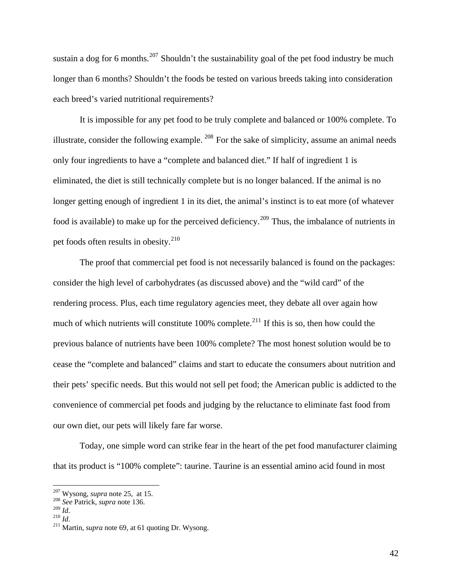sustain a dog for 6 months.<sup>[207](#page-44-0)</sup> Shouldn't the sustainability goal of the pet food industry be much longer than 6 months? Shouldn't the foods be tested on various breeds taking into consideration each breed's varied nutritional requirements?

 It is impossible for any pet food to be truly complete and balanced or 100% complete. To illustrate, consider the following example.  $^{208}$  $^{208}$  $^{208}$  For the sake of simplicity, assume an animal needs only four ingredients to have a "complete and balanced diet." If half of ingredient 1 is eliminated, the diet is still technically complete but is no longer balanced. If the animal is no longer getting enough of ingredient 1 in its diet, the animal's instinct is to eat more (of whatever food is available) to make up for the perceived deficiency.<sup>[209](#page-44-2)</sup> Thus, the imbalance of nutrients in pet foods often results in obesity. $^{210}$  $^{210}$  $^{210}$ 

The proof that commercial pet food is not necessarily balanced is found on the packages: consider the high level of carbohydrates (as discussed above) and the "wild card" of the rendering process. Plus, each time regulatory agencies meet, they debate all over again how much of which nutrients will constitute  $100\%$  complete.<sup>[211](#page-44-4)</sup> If this is so, then how could the previous balance of nutrients have been 100% complete? The most honest solution would be to cease the "complete and balanced" claims and start to educate the consumers about nutrition and their pets' specific needs. But this would not sell pet food; the American public is addicted to the convenience of commercial pet foods and judging by the reluctance to eliminate fast food from our own diet, our pets will likely fare far worse.

Today, one simple word can strike fear in the heart of the pet food manufacturer claiming that its product is "100% complete": taurine. Taurine is an essential amino acid found in most

<span id="page-44-0"></span><sup>207</sup> Wysong, *supra* note 25, at 15. 208 *See* Patrick, *supra* note 136.

<span id="page-44-3"></span>

<span id="page-44-4"></span>

<span id="page-44-2"></span><span id="page-44-1"></span><sup>209</sup> *Id.*<br><sup>210</sup> *Id.*<br><sup>211</sup> Martin, *supra* note 69, at 61 quoting Dr. Wysong.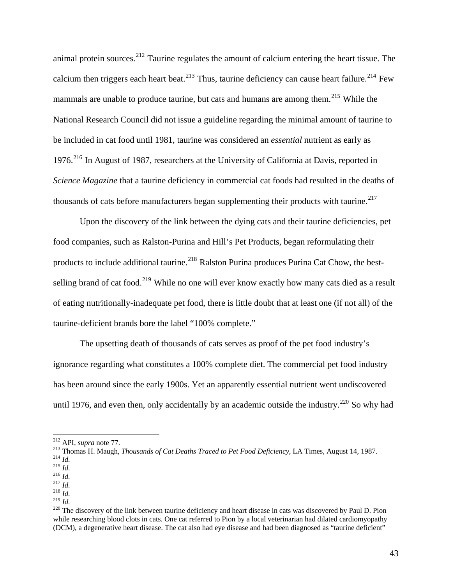animal protein sources.  $2^{12}$  Taurine regulates the amount of calcium entering the heart tissue. The calcium then triggers each heart beat.<sup>[213](#page-45-1)</sup> Thus, taurine deficiency can cause heart failure.<sup>[214](#page-45-2)</sup> Few mammals are unable to produce taurine, but cats and humans are among them.<sup>[215](#page-45-3)</sup> While the National Research Council did not issue a guideline regarding the minimal amount of taurine to be included in cat food until 1981, taurine was considered an *essential* nutrient as early as 1976.<sup>[216](#page-45-4)</sup> In August of 1987, researchers at the University of California at Davis, reported in *Science Magazine* that a taurine deficiency in commercial cat foods had resulted in the deaths of thousands of cats before manufacturers began supplementing their products with taurine. $217$ 

Upon the discovery of the link between the dying cats and their taurine deficiencies, pet food companies, such as Ralston-Purina and Hill's Pet Products, began reformulating their products to include additional taurine.<sup>[218](#page-45-6)</sup> Ralston Purina produces Purina Cat Chow, the best-selling brand of cat food.<sup>[219](#page-45-7)</sup> While no one will ever know exactly how many cats died as a result of eating nutritionally-inadequate pet food, there is little doubt that at least one (if not all) of the taurine-deficient brands bore the label "100% complete."

The upsetting death of thousands of cats serves as proof of the pet food industry's ignorance regarding what constitutes a 100% complete diet. The commercial pet food industry has been around since the early 1900s. Yet an apparently essential nutrient went undiscovered until 1976, and even then, only accidentally by an academic outside the industry.<sup>[220](#page-45-8)</sup> So why had

<span id="page-45-5"></span>

<span id="page-45-0"></span><sup>&</sup>lt;sup>212</sup> API, *supra* note 77.

<span id="page-45-1"></span><sup>213</sup> Thomas H. Maugh, *Thousands of Cat Deaths Traced to Pet Food Deficiency*, LA Times, August 14, 1987.<br>
<sup>214</sup> *Id.* 215 *Id.* 216 *Id.* 217 *Id.* 217 *Id.* 218 *Id.* 218 *Id.* 218 *Id.* 218 *Id.* 218 *Id.* 219 *Id* 

<span id="page-45-3"></span><span id="page-45-2"></span>

<span id="page-45-4"></span>

<span id="page-45-7"></span><span id="page-45-6"></span>

<span id="page-45-8"></span><sup>&</sup>lt;sup>220</sup> The discovery of the link between taurine deficiency and heart disease in cats was discovered by Paul D. Pion while researching blood clots in cats. One cat referred to Pion by a local veterinarian had dilated cardiomyopathy (DCM), a degenerative heart disease. The cat also had eye disease and had been diagnosed as "taurine deficient"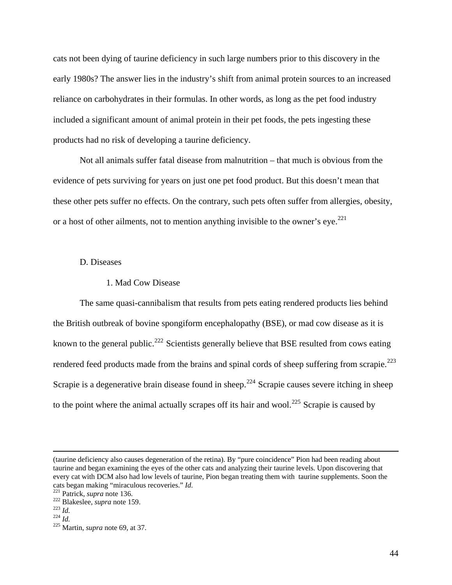<span id="page-46-0"></span>cats not been dying of taurine deficiency in such large numbers prior to this discovery in the early 1980s? The answer lies in the industry's shift from animal protein sources to an increased reliance on carbohydrates in their formulas. In other words, as long as the pet food industry included a significant amount of animal protein in their pet foods, the pets ingesting these products had no risk of developing a taurine deficiency.

 Not all animals suffer fatal disease from malnutrition – that much is obvious from the evidence of pets surviving for years on just one pet food product. But this doesn't mean that these other pets suffer no effects. On the contrary, such pets often suffer from allergies, obesity, or a host of other ailments, not to mention anything invisible to the owner's  $eye^{221}$  $eye^{221}$  $eye^{221}$ 

#### D. Diseases

# 1. Mad Cow Disease

 The same quasi-cannibalism that results from pets eating rendered products lies behind the British outbreak of bovine spongiform encephalopathy (BSE), or mad cow disease as it is known to the general public.<sup>[222](#page-46-2)</sup> Scientists generally believe that BSE resulted from cows eating rendered feed products made from the brains and spinal cords of sheep suffering from scrapie.<sup>[223](#page-46-3)</sup> Scrapie is a degenerative brain disease found in sheep.<sup>[224](#page-46-4)</sup> Scrapie causes severe itching in sheep to the point where the animal actually scrapes off its hair and wool.<sup>[225](#page-46-5)</sup> Scrapie is caused by

 <sup>(</sup>taurine deficiency also causes degeneration of the retina). By "pure coincidence" Pion had been reading about taurine and began examining the eyes of the other cats and analyzing their taurine levels. Upon discovering that every cat with DCM also had low levels of taurine, Pion began treating them with taurine supplements. Soon the cats began making "miraculous recoveries." *Id.* 

<span id="page-46-4"></span><span id="page-46-3"></span>

<span id="page-46-5"></span>

<span id="page-46-2"></span><span id="page-46-1"></span><sup>&</sup>lt;sup>221</sup> Patrick, *supra* note 136.<br><sup>222</sup> Blakeslee, *supra* note 159.<br><sup>223</sup> *Id.* <sup>225</sup> Martin, *supra* note 69, at 37.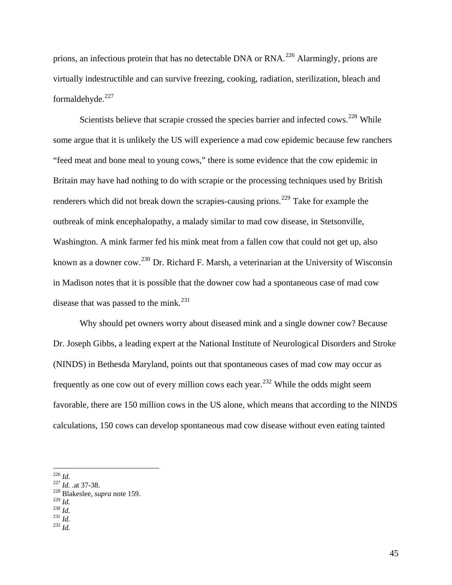prions, an infectious protein that has no detectable DNA or RNA.<sup>[226](#page-47-0)</sup> Alarmingly, prions are virtually indestructible and can survive freezing, cooking, radiation, sterilization, bleach and formaldehyde. $227$ 

Scientists believe that scrapie crossed the species barrier and infected cows.<sup>[228](#page-47-2)</sup> While some argue that it is unlikely the US will experience a mad cow epidemic because few ranchers "feed meat and bone meal to young cows," there is some evidence that the cow epidemic in Britain may have had nothing to do with scrapie or the processing techniques used by British renderers which did not break down the scrapies-causing prions.<sup>[229](#page-47-3)</sup> Take for example the outbreak of mink encephalopathy, a malady similar to mad cow disease, in Stetsonville, Washington. A mink farmer fed his mink meat from a fallen cow that could not get up, also known as a downer cow.<sup>[230](#page-47-4)</sup> Dr. Richard F. Marsh, a veterinarian at the University of Wisconsin in Madison notes that it is possible that the downer cow had a spontaneous case of mad cow disease that was passed to the mink.<sup>[231](#page-47-5)</sup>

 Why should pet owners worry about diseased mink and a single downer cow? Because Dr. Joseph Gibbs, a leading expert at the National Institute of Neurological Disorders and Stroke (NINDS) in Bethesda Maryland, points out that spontaneous cases of mad cow may occur as frequently as one cow out of every million cows each year.<sup>[232](#page-47-6)</sup> While the odds might seem favorable, there are 150 million cows in the US alone, which means that according to the NINDS calculations, 150 cows can develop spontaneous mad cow disease without even eating tainted

<span id="page-47-0"></span> $^{226}$  *Id.* 

<span id="page-47-1"></span><sup>&</sup>lt;sup>227</sup> *Id.* .at 37-38.<br><sup>228</sup> Blakeslee, *supra* note 159.<br><sup>229</sup> *Id* 

<span id="page-47-6"></span>

<span id="page-47-5"></span><span id="page-47-4"></span><span id="page-47-3"></span><span id="page-47-2"></span><sup>229</sup> *Id.* 230 *Id.* 231 *Id.* 232 *Id.*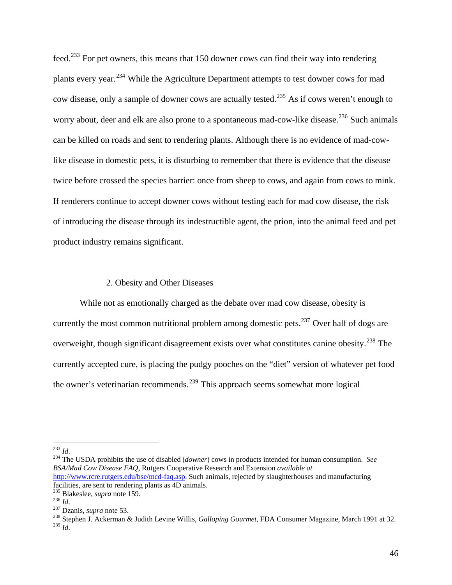<span id="page-48-0"></span>feed.[233](#page-48-1) For pet owners, this means that 150 downer cows can find their way into rendering plants every year.[234](#page-48-2) While the Agriculture Department attempts to test downer cows for mad cow disease, only a sample of downer cows are actually tested.<sup>[235](#page-48-3)</sup> As if cows weren't enough to worry about, deer and elk are also prone to a spontaneous mad-cow-like disease.<sup>[236](#page-48-4)</sup> Such animals can be killed on roads and sent to rendering plants. Although there is no evidence of mad-cowlike disease in domestic pets, it is disturbing to remember that there is evidence that the disease twice before crossed the species barrier: once from sheep to cows, and again from cows to mink. If renderers continue to accept downer cows without testing each for mad cow disease, the risk of introducing the disease through its indestructible agent, the prion, into the animal feed and pet product industry remains significant.

# 2. Obesity and Other Diseases

While not as emotionally charged as the debate over mad cow disease, obesity is currently the most common nutritional problem among domestic pets.<sup>[237](#page-48-5)</sup> Over half of dogs are overweight, though significant disagreement exists over what constitutes canine obesity.<sup>[238](#page-48-6)</sup> The currently accepted cure, is placing the pudgy pooches on the "diet" version of whatever pet food the owner's veterinarian recommends.<sup>[239](#page-48-7)</sup> This approach seems somewhat more logical

<span id="page-48-2"></span><sup>234</sup> The USDA prohibits the use of disabled (*downer*) cows in products intended for human consumption. *See BSA/Mad Cow Disease FAQ*, Rutgers Cooperative Research and Extension *available at* [http://www.rcre.rutgers.edu/bse/mcd-faq.asp.](http://www.rcre.rutgers.edu/bse/mcd-faq.asp) Such animals, rejected by slaughterhouses and manufacturing facilities, are sent to rendering plants as 4D animals.<br><sup>235</sup> Blakeslee, *supra* note 159.

<span id="page-48-1"></span> $^{233}$  *Id.* 

<span id="page-48-7"></span><span id="page-48-6"></span>

<span id="page-48-5"></span><span id="page-48-4"></span><span id="page-48-3"></span><sup>236</sup> Blakeslee, *supra* note 125.<br><sup>236</sup> *Id.*<br><sup>237</sup> Dzanis, *supra* note 53. 238 Stephen J. Ackerman & Judith Levine Willis, *Galloping Gourmet*, FDA Consumer Magazine, March 1991 at 32. <sup>239</sup> *Id*.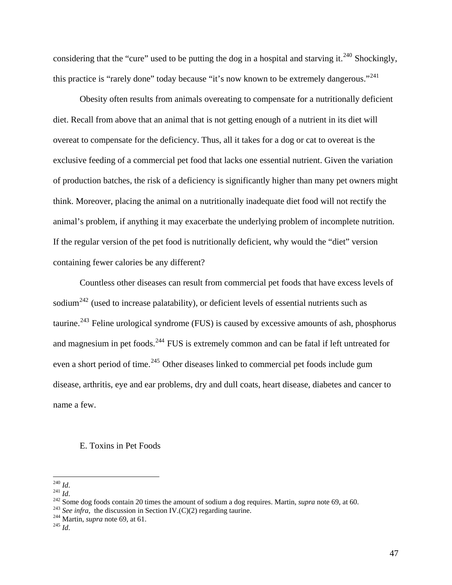<span id="page-49-0"></span>considering that the "cure" used to be putting the dog in a hospital and starving it. $^{240}$  $^{240}$  $^{240}$  Shockingly, this practice is "rarely done" today because "it's now known to be extremely dangerous."<sup>[241](#page-49-2)</sup>

Obesity often results from animals overeating to compensate for a nutritionally deficient diet. Recall from above that an animal that is not getting enough of a nutrient in its diet will overeat to compensate for the deficiency. Thus, all it takes for a dog or cat to overeat is the exclusive feeding of a commercial pet food that lacks one essential nutrient. Given the variation of production batches, the risk of a deficiency is significantly higher than many pet owners might think. Moreover, placing the animal on a nutritionally inadequate diet food will not rectify the animal's problem, if anything it may exacerbate the underlying problem of incomplete nutrition. If the regular version of the pet food is nutritionally deficient, why would the "diet" version containing fewer calories be any different?

 Countless other diseases can result from commercial pet foods that have excess levels of sodium<sup> $242$ </sup> (used to increase palatability), or deficient levels of essential nutrients such as taurine.<sup>[243](#page-49-4)</sup> Feline urological syndrome (FUS) is caused by excessive amounts of ash, phosphorus and magnesium in pet foods.<sup>[244](#page-49-5)</sup> FUS is extremely common and can be fatal if left untreated for even a short period of time.<sup>[245](#page-49-6)</sup> Other diseases linked to commercial pet foods include gum disease, arthritis, eye and ear problems, dry and dull coats, heart disease, diabetes and cancer to name a few.

#### E. Toxins in Pet Foods

<span id="page-49-1"></span> $^{240}\,Id.$ 

<span id="page-49-3"></span><span id="page-49-2"></span><sup>&</sup>lt;sup>241</sup> *Id.*<br><sup>242</sup> Some dog foods contain 20 times the amount of sodium a dog requires. Martin, *supra* note 69, at 60.<br><sup>243</sup> See infra, the discussion in Section IV.(C)(2) regarding taurine.<br><sup>244</sup> Martin, *supra* note 69,

<span id="page-49-5"></span><span id="page-49-4"></span>

<span id="page-49-6"></span>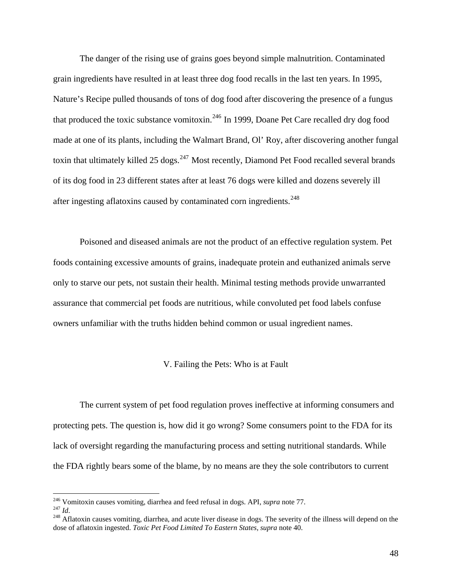<span id="page-50-0"></span> The danger of the rising use of grains goes beyond simple malnutrition. Contaminated grain ingredients have resulted in at least three dog food recalls in the last ten years. In 1995, Nature's Recipe pulled thousands of tons of dog food after discovering the presence of a fungus that produced the toxic substance vomitoxin.<sup>[246](#page-50-1)</sup> In 1999, Doane Pet Care recalled dry dog food made at one of its plants, including the Walmart Brand, Ol' Roy, after discovering another fungal toxin that ultimately killed 25 dogs.<sup>[247](#page-50-2)</sup> Most recently, Diamond Pet Food recalled several brands of its dog food in 23 different states after at least 76 dogs were killed and dozens severely ill after ingesting aflatoxins caused by contaminated corn ingredients.<sup>[248](#page-50-3)</sup>

Poisoned and diseased animals are not the product of an effective regulation system. Pet foods containing excessive amounts of grains, inadequate protein and euthanized animals serve only to starve our pets, not sustain their health. Minimal testing methods provide unwarranted assurance that commercial pet foods are nutritious, while convoluted pet food labels confuse owners unfamiliar with the truths hidden behind common or usual ingredient names.

#### V. Failing the Pets: Who is at Fault

 The current system of pet food regulation proves ineffective at informing consumers and protecting pets. The question is, how did it go wrong? Some consumers point to the FDA for its lack of oversight regarding the manufacturing process and setting nutritional standards. While the FDA rightly bears some of the blame, by no means are they the sole contributors to current

<span id="page-50-1"></span><sup>&</sup>lt;sup>246</sup> Vomitoxin causes vomiting, diarrhea and feed refusal in dogs. API, *supra* note 77.

<span id="page-50-3"></span>

<span id="page-50-2"></span> $\frac{247}{10}$  *Id.*<br><sup>248</sup> Aflatoxin causes vomiting, diarrhea, and acute liver disease in dogs. The severity of the illness will depend on the dose of aflatoxin ingested. *Toxic Pet Food Limited To Eastern States, supra* note 40.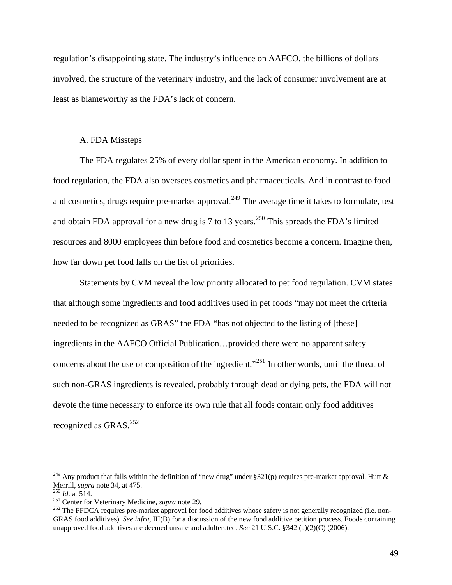<span id="page-51-0"></span>regulation's disappointing state. The industry's influence on AAFCO, the billions of dollars involved, the structure of the veterinary industry, and the lack of consumer involvement are at least as blameworthy as the FDA's lack of concern.

#### A. FDA Missteps

 The FDA regulates 25% of every dollar spent in the American economy. In addition to food regulation, the FDA also oversees cosmetics and pharmaceuticals. And in contrast to food and cosmetics, drugs require pre-market approval.<sup>[249](#page-51-1)</sup> The average time it takes to formulate, test and obtain FDA approval for a new drug is 7 to 13 years.<sup>[250](#page-51-2)</sup> This spreads the FDA's limited resources and 8000 employees thin before food and cosmetics become a concern. Imagine then, how far down pet food falls on the list of priorities.

Statements by CVM reveal the low priority allocated to pet food regulation. CVM states that although some ingredients and food additives used in pet foods "may not meet the criteria needed to be recognized as GRAS" the FDA "has not objected to the listing of [these] ingredients in the AAFCO Official Publication…provided there were no apparent safety concerns about the use or composition of the ingredient."<sup>[251](#page-51-3)</sup> In other words, until the threat of such non-GRAS ingredients is revealed, probably through dead or dying pets, the FDA will not devote the time necessary to enforce its own rule that all foods contain only food additives recognized as GRAS. $^{252}$  $^{252}$  $^{252}$ 

<span id="page-51-1"></span><sup>&</sup>lt;sup>249</sup> Any product that falls within the definition of "new drug" under §321(p) requires pre-market approval. Hutt & Merrill, *supra* note 34, at 475.<br>
<sup>250</sup> *Id.* at 514.<br>
<sup>251</sup> Center for Veterinary Medicine, *supra* note 29.<br>
<sup>251</sup> The FFDCA requires pre-market approval for food additives whose safety is not generally recognized (i.e.

<span id="page-51-2"></span>

<span id="page-51-3"></span>

<span id="page-51-4"></span>GRAS food additives). *See infra*, III(B) for a discussion of the new food additive petition process. Foods containing unapproved food additives are deemed unsafe and adulterated. *See* 21 U.S.C. §342 (a)(2)(C) (2006).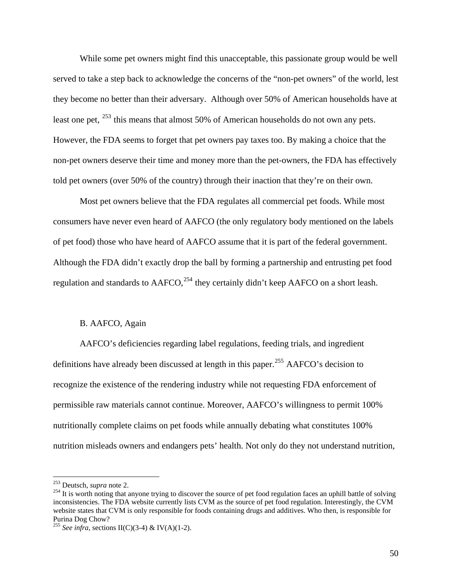<span id="page-52-0"></span>While some pet owners might find this unacceptable, this passionate group would be well served to take a step back to acknowledge the concerns of the "non-pet owners" of the world, lest they become no better than their adversary. Although over 50% of American households have at least one pet, [253](#page-52-1) this means that almost 50% of American households do not own any pets. However, the FDA seems to forget that pet owners pay taxes too. By making a choice that the non-pet owners deserve their time and money more than the pet-owners, the FDA has effectively told pet owners (over 50% of the country) through their inaction that they're on their own.

Most pet owners believe that the FDA regulates all commercial pet foods. While most consumers have never even heard of AAFCO (the only regulatory body mentioned on the labels of pet food) those who have heard of AAFCO assume that it is part of the federal government. Although the FDA didn't exactly drop the ball by forming a partnership and entrusting pet food regulation and standards to  $AAFCO$ ,<sup>[254](#page-52-2)</sup> they certainly didn't keep  $AAFCO$  on a short leash.

# B. AAFCO, Again

 AAFCO's deficiencies regarding label regulations, feeding trials, and ingredient definitions have already been discussed at length in this paper.<sup>[255](#page-52-3)</sup> AAFCO's decision to recognize the existence of the rendering industry while not requesting FDA enforcement of permissible raw materials cannot continue. Moreover, AAFCO's willingness to permit 100% nutritionally complete claims on pet foods while annually debating what constitutes 100% nutrition misleads owners and endangers pets' health. Not only do they not understand nutrition,

<span id="page-52-1"></span><sup>&</sup>lt;sup>253</sup> Deutsch, *supra* note 2.

<span id="page-52-2"></span><sup>&</sup>lt;sup>254</sup> It is worth noting that anyone trying to discover the source of pet food regulation faces an uphill battle of solving inconsistencies. The FDA website currently lists CVM as the source of pet food regulation. Interestingly, the CVM website states that CVM is only responsible for foods containing drugs and additives. Who then, is responsible for Purina Dog Chow?

<span id="page-52-3"></span><sup>255</sup> *See infra*, sections II(C)(3-4) & IV(A)(1-2).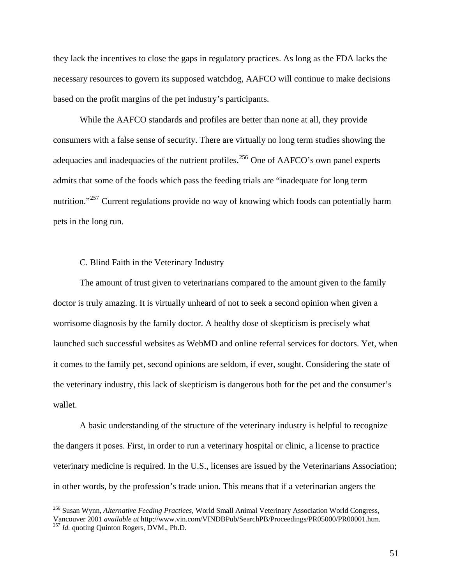<span id="page-53-0"></span>they lack the incentives to close the gaps in regulatory practices. As long as the FDA lacks the necessary resources to govern its supposed watchdog, AAFCO will continue to make decisions based on the profit margins of the pet industry's participants.

 While the AAFCO standards and profiles are better than none at all, they provide consumers with a false sense of security. There are virtually no long term studies showing the adequacies and inadequacies of the nutrient profiles.<sup>[256](#page-53-1)</sup> One of AAFCO's own panel experts admits that some of the foods which pass the feeding trials are "inadequate for long term nutrition."<sup>[257](#page-53-2)</sup> Current regulations provide no way of knowing which foods can potentially harm pets in the long run.

# C. Blind Faith in the Veterinary Industry

1

 The amount of trust given to veterinarians compared to the amount given to the family doctor is truly amazing. It is virtually unheard of not to seek a second opinion when given a worrisome diagnosis by the family doctor. A healthy dose of skepticism is precisely what launched such successful websites as WebMD and online referral services for doctors. Yet, when it comes to the family pet, second opinions are seldom, if ever, sought. Considering the state of the veterinary industry, this lack of skepticism is dangerous both for the pet and the consumer's wallet.

 A basic understanding of the structure of the veterinary industry is helpful to recognize the dangers it poses. First, in order to run a veterinary hospital or clinic, a license to practice veterinary medicine is required. In the U.S., licenses are issued by the Veterinarians Association; in other words, by the profession's trade union. This means that if a veterinarian angers the

<span id="page-53-2"></span><span id="page-53-1"></span><sup>256</sup> Susan Wynn, *Alternative Feeding Practices*, World Small Animal Veterinary Association World Congress, Vancouver 2001 *available at* http://www.vin.com/VINDBPub/SearchPB/Proceedings/PR05000/PR00001.htm. 257 *Id.* quoting Quinton Rogers, DVM., Ph.D.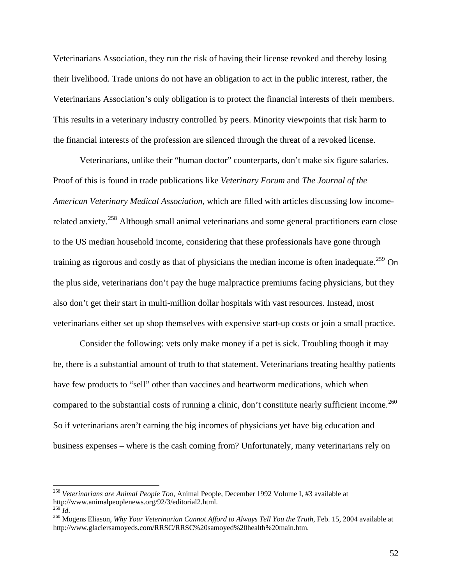Veterinarians Association, they run the risk of having their license revoked and thereby losing their livelihood. Trade unions do not have an obligation to act in the public interest, rather, the Veterinarians Association's only obligation is to protect the financial interests of their members. This results in a veterinary industry controlled by peers. Minority viewpoints that risk harm to the financial interests of the profession are silenced through the threat of a revoked license.

 Veterinarians, unlike their "human doctor" counterparts, don't make six figure salaries. Proof of this is found in trade publications like *Veterinary Forum* and *The Journal of the American Veterinary Medical Association,* which are filled with articles discussing low income-related anxiety.<sup>[258](#page-54-0)</sup> Although small animal veterinarians and some general practitioners earn close to the US median household income, considering that these professionals have gone through training as rigorous and costly as that of physicians the median income is often inadequate.<sup>[259](#page-54-1)</sup> On the plus side, veterinarians don't pay the huge malpractice premiums facing physicians, but they also don't get their start in multi-million dollar hospitals with vast resources. Instead, most veterinarians either set up shop themselves with expensive start-up costs or join a small practice.

 Consider the following: vets only make money if a pet is sick. Troubling though it may be, there is a substantial amount of truth to that statement. Veterinarians treating healthy patients have few products to "sell" other than vaccines and heartworm medications, which when compared to the substantial costs of running a clinic, don't constitute nearly sufficient income.<sup>[260](#page-54-2)</sup> So if veterinarians aren't earning the big incomes of physicians yet have big education and business expenses – where is the cash coming from? Unfortunately, many veterinarians rely on

<span id="page-54-0"></span><sup>258</sup> *Veterinarians are Animal People Too*, Animal People, December 1992 Volume I, #3 available at http://www.animalpeoplenews.org/92/3/editorial2.html.<br><sup>259</sup> Id.

<span id="page-54-2"></span><span id="page-54-1"></span><sup>&</sup>lt;sup>260</sup> Mogens Eliason, *Why Your Veterinarian Cannot Afford to Always Tell You the Truth*, Feb. 15, 2004 available at http://www.glaciersamoyeds.com/RRSC/RRSC%20samoyed%20health%20main.htm.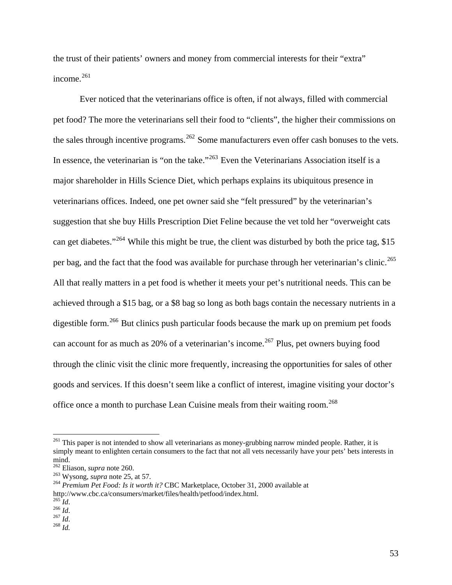the trust of their patients' owners and money from commercial interests for their "extra" income.<sup>[261](#page-55-0)</sup>

 Ever noticed that the veterinarians office is often, if not always, filled with commercial pet food? The more the veterinarians sell their food to "clients", the higher their commissions on the sales through incentive programs.<sup>[262](#page-55-1)</sup> Some manufacturers even offer cash bonuses to the vets. In essence, the veterinarian is "on the take."<sup>[263](#page-55-2)</sup> Even the Veterinarians Association itself is a major shareholder in Hills Science Diet, which perhaps explains its ubiquitous presence in veterinarians offices. Indeed, one pet owner said she "felt pressured" by the veterinarian's suggestion that she buy Hills Prescription Diet Feline because the vet told her "overweight cats can get diabetes."<sup>[264](#page-55-3)</sup> While this might be true, the client was disturbed by both the price tag, \$15 per bag, and the fact that the food was available for purchase through her veterinarian's clinic.<sup>[265](#page-55-4)</sup> All that really matters in a pet food is whether it meets your pet's nutritional needs. This can be achieved through a \$15 bag, or a \$8 bag so long as both bags contain the necessary nutrients in a digestible form.<sup>[266](#page-55-5)</sup> But clinics push particular foods because the mark up on premium pet foods can account for as much as 20% of a veterinarian's income.<sup>[267](#page-55-6)</sup> Plus, pet owners buying food through the clinic visit the clinic more frequently, increasing the opportunities for sales of other goods and services. If this doesn't seem like a conflict of interest, imagine visiting your doctor's office once a month to purchase Lean Cuisine meals from their waiting room.<sup>[268](#page-55-7)</sup>

<span id="page-55-0"></span><sup>&</sup>lt;sup>261</sup> This paper is not intended to show all veterinarians as money-grubbing narrow minded people. Rather, it is simply meant to enlighten certain consumers to the fact that not all vets necessarily have your pets' bets interests in mind.<br><sup>262</sup> Eliason, *supra* note 260.

<span id="page-55-3"></span><span id="page-55-2"></span><span id="page-55-1"></span><sup>263</sup> Wysong, *supra* note 25, at 57.<br><sup>263</sup> Wysong, *supra* note 25, at 57.<br><sup>264</sup> *Premium Pet Food: Is it worth it?* CBC Marketplace, October 31, 2000 available at http://www.cbc.ca/consumers/market/files/health/petfood/index.html.<br>
<sup>265</sup> *Id.*<br>
<sup>266</sup> *Id.*<br>
<sup>267</sup> *Id.*<br>
<sup>267</sup> *Id.* 

<span id="page-55-4"></span>

<span id="page-55-6"></span><span id="page-55-5"></span>

<span id="page-55-7"></span>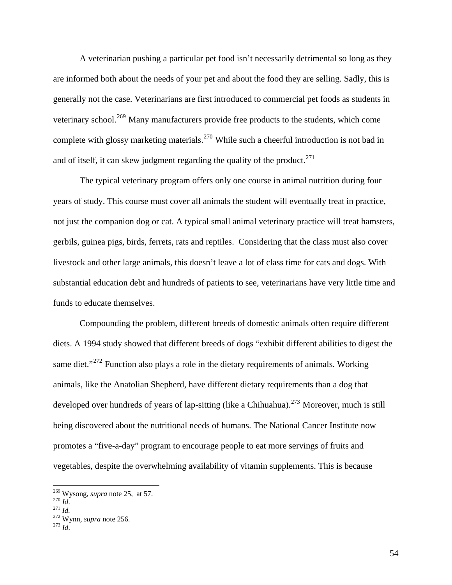A veterinarian pushing a particular pet food isn't necessarily detrimental so long as they are informed both about the needs of your pet and about the food they are selling. Sadly, this is generally not the case. Veterinarians are first introduced to commercial pet foods as students in veterinary school.<sup>[269](#page-56-0)</sup> Many manufacturers provide free products to the students, which come complete with glossy marketing materials.<sup>[270](#page-56-1)</sup> While such a cheerful introduction is not bad in and of itself, it can skew judgment regarding the quality of the product.<sup>271</sup>

The typical veterinary program offers only one course in animal nutrition during four years of study. This course must cover all animals the student will eventually treat in practice, not just the companion dog or cat. A typical small animal veterinary practice will treat hamsters, gerbils, guinea pigs, birds, ferrets, rats and reptiles. Considering that the class must also cover livestock and other large animals, this doesn't leave a lot of class time for cats and dogs. With substantial education debt and hundreds of patients to see, veterinarians have very little time and funds to educate themselves.

Compounding the problem, different breeds of domestic animals often require different diets. A 1994 study showed that different breeds of dogs "exhibit different abilities to digest the same diet."<sup>[272](#page-56-2)</sup> Function also plays a role in the dietary requirements of animals. Working animals, like the Anatolian Shepherd, have different dietary requirements than a dog that developed over hundreds of years of lap-sitting (like a Chihuahua).<sup>[273](#page-56-3)</sup> Moreover, much is still being discovered about the nutritional needs of humans. The National Cancer Institute now promotes a "five-a-day" program to encourage people to eat more servings of fruits and vegetables, despite the overwhelming availability of vitamin supplements. This is because

<span id="page-56-0"></span><sup>&</sup>lt;sup>269</sup> Wysong, *supra* note 25, at 57.<br><sup>270</sup> *Id.*<br><sup>271</sup> *Id.* 272 Wynn, *supra* note 256. <sup>273</sup> *Id.* 

<span id="page-56-1"></span>

<span id="page-56-2"></span>

<span id="page-56-3"></span>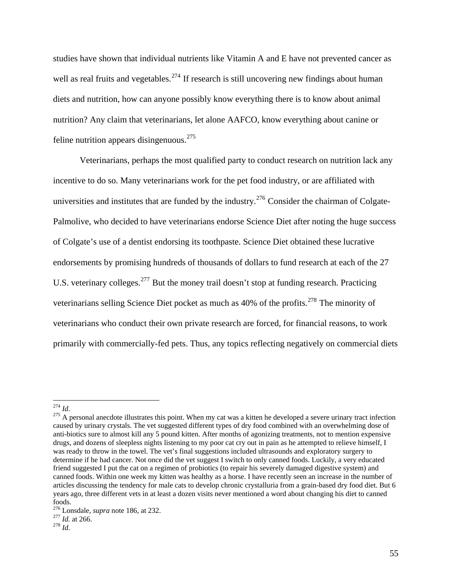studies have shown that individual nutrients like Vitamin A and E have not prevented cancer as well as real fruits and vegetables.  $274$  If research is still uncovering new findings about human diets and nutrition, how can anyone possibly know everything there is to know about animal nutrition? Any claim that veterinarians, let alone AAFCO, know everything about canine or feline nutrition appears disingenuous.  $275$ 

Veterinarians, perhaps the most qualified party to conduct research on nutrition lack any incentive to do so. Many veterinarians work for the pet food industry, or are affiliated with universities and institutes that are funded by the industry.<sup>[276](#page-57-2)</sup> Consider the chairman of Colgate-Palmolive, who decided to have veterinarians endorse Science Diet after noting the huge success of Colgate's use of a dentist endorsing its toothpaste. Science Diet obtained these lucrative endorsements by promising hundreds of thousands of dollars to fund research at each of the 27 U.S. veterinary colleges.<sup>[277](#page-57-3)</sup> But the money trail doesn't stop at funding research. Practicing veterinarians selling Science Diet pocket as much as  $40\%$  of the profits.<sup>[278](#page-57-4)</sup> The minority of veterinarians who conduct their own private research are forced, for financial reasons, to work primarily with commercially-fed pets. Thus, any topics reflecting negatively on commercial diets

<span id="page-57-0"></span> $^{274}$  *Id.* 

<span id="page-57-1"></span><sup>&</sup>lt;sup>275</sup> A personal anecdote illustrates this point. When my cat was a kitten he developed a severe urinary tract infection caused by urinary crystals. The vet suggested different types of dry food combined with an overwhelming dose of anti-biotics sure to almost kill any 5 pound kitten. After months of agonizing treatments, not to mention expensive drugs, and dozens of sleepless nights listening to my poor cat cry out in pain as he attempted to relieve himself, I was ready to throw in the towel. The vet's final suggestions included ultrasounds and exploratory surgery to determine if he had cancer. Not once did the vet suggest I switch to only canned foods. Luckily, a very educated friend suggested I put the cat on a regimen of probiotics (to repair his severely damaged digestive system) and canned foods. Within one week my kitten was healthy as a horse. I have recently seen an increase in the number of articles discussing the tendency for male cats to develop chronic crystalluria from a grain-based dry food diet. But 6 years ago, three different vets in at least a dozen visits never mentioned a word about changing his diet to canned foods.

<span id="page-57-3"></span><span id="page-57-2"></span><sup>276</sup> Lonsdale, *supra* note 186, at 232. 277 *Id.* at 266. 278 *Id*.

<span id="page-57-4"></span>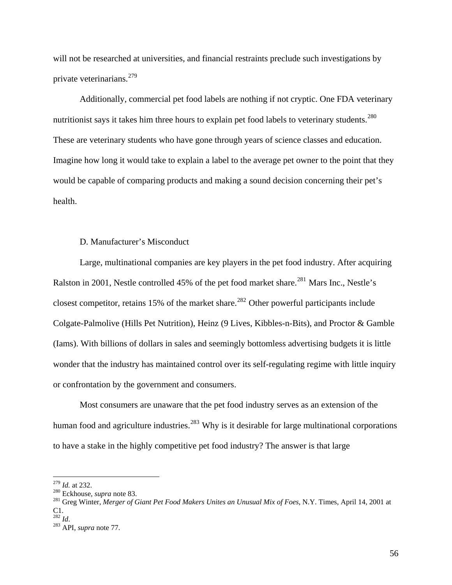<span id="page-58-0"></span>will not be researched at universities, and financial restraints preclude such investigations by private veterinarians.<sup>[279](#page-58-1)</sup>

Additionally, commercial pet food labels are nothing if not cryptic. One FDA veterinary nutritionist says it takes him three hours to explain pet food labels to veterinary students.<sup>[280](#page-58-2)</sup> These are veterinary students who have gone through years of science classes and education. Imagine how long it would take to explain a label to the average pet owner to the point that they would be capable of comparing products and making a sound decision concerning their pet's health.

# D. Manufacturer's Misconduct

 Large, multinational companies are key players in the pet food industry. After acquiring Ralston in 2001, Nestle controlled 45% of the pet food market share.<sup>[281](#page-58-3)</sup> Mars Inc., Nestle's closest competitor, retains 15% of the market share.<sup>[282](#page-58-4)</sup> Other powerful participants include Colgate-Palmolive (Hills Pet Nutrition), Heinz (9 Lives, Kibbles-n-Bits), and Proctor & Gamble (Iams). With billions of dollars in sales and seemingly bottomless advertising budgets it is little wonder that the industry has maintained control over its self-regulating regime with little inquiry or confrontation by the government and consumers.

Most consumers are unaware that the pet food industry serves as an extension of the human food and agriculture industries.<sup>[283](#page-58-5)</sup> Why is it desirable for large multinational corporations to have a stake in the highly competitive pet food industry? The answer is that large

<span id="page-58-1"></span> $^{279}$  *Id.* at 232.

<span id="page-58-3"></span>

<span id="page-58-2"></span><sup>&</sup>lt;sup>280</sup> Eckhouse, *supra* note 83.<br><sup>281</sup> Greg Winter, *Merger of Giant Pet Food Makers Unites an Unusual Mix of Foes*, N.Y. Times, April 14, 2001 at  $\frac{C1}{^{282}}$ *Id.* 

<span id="page-58-5"></span><span id="page-58-4"></span><sup>282</sup> *Id*. 283 API, *supra* note 77.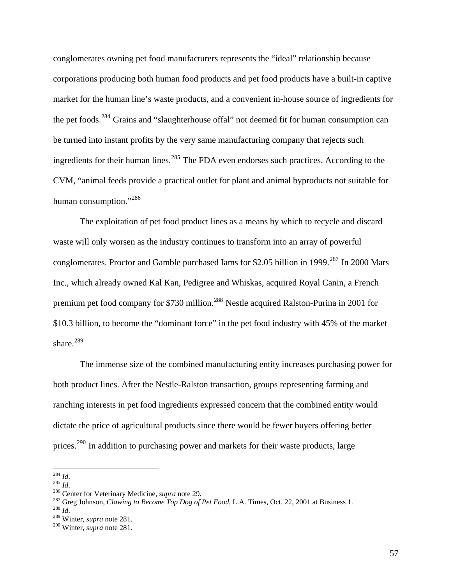conglomerates owning pet food manufacturers represents the "ideal" relationship because corporations producing both human food products and pet food products have a built-in captive market for the human line's waste products, and a convenient in-house source of ingredients for the pet foods.<sup>[284](#page-59-0)</sup> Grains and "slaughterhouse offal" not deemed fit for human consumption can be turned into instant profits by the very same manufacturing company that rejects such ingredients for their human lines.<sup>[285](#page-59-1)</sup> The FDA even endorses such practices. According to the CVM, "animal feeds provide a practical outlet for plant and animal byproducts not suita ble for human consumption."<sup>286</sup>

The exploitation of pet food product lines as a means by which to recycle and discard waste will only worsen as the industry continues to transform into an array of powerful conglomerates. Proctor and Gamble purchased Iams for \$2.05 billion in 1999.<sup>[287](#page-59-2)</sup> In 2000 Mars Inc., which already owned Kal Kan, Pedigree and Whiskas, acquired Royal Canin, a French premium pet food company for \$730 million.[288](#page-59-3) Nestle acquired Ralston-Purina in 2001 for \$10.3 billion, to become the "dominant force" in the pet food industry with 45% of the market share.<sup>[289](#page-59-4)</sup>

The immense size of the combined manufacturing entity increases purchasing power for both product lines. After the Nestle-Ralston transaction, groups representing farming and ranching interests in pet food ingredients expressed concern that the combined entity would dictate the price of agricultural products since there would be fewer buyers offering better prices.<sup>[290](#page-59-5)</sup> In addition to purchasing power and markets for their waste products, large

<span id="page-59-0"></span> $^{284}$  *Id.* 

<span id="page-59-1"></span><sup>&</sup>lt;sup>285</sup> *Id.*<br><sup>286</sup> Center for Veterinary Medicine, *supra* note 29.<br><sup>287</sup> Greg Johnson, *Clawing to Become Top Dog of Pet Food*, L.A. Times, Oct. 22, 2001 at Business 1.<br><sup>287</sup> *Id.*<br><sup>289</sup> Winter, *supra* note 281.

<span id="page-59-4"></span><span id="page-59-3"></span><span id="page-59-2"></span>

<span id="page-59-5"></span><sup>290</sup> Winter, *supra* note 281.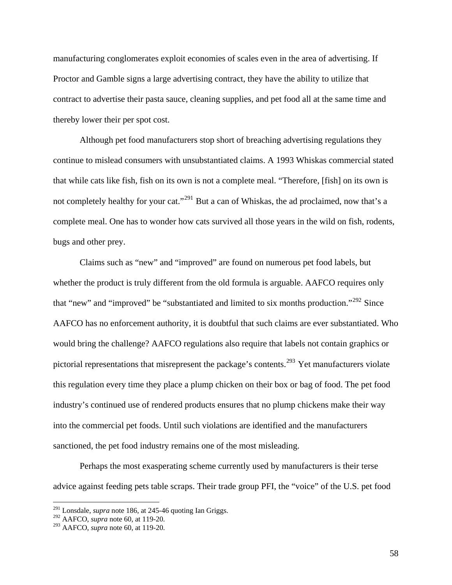manufacturing conglomerates exploit economies of scales even in the area of advertising. If Proctor and Gamble signs a large advertising contract, they have the ability to utilize that contract to advertise their pasta sauce, cleaning supplies, and pet food all at the same time and thereby lower their per spot cost.

 Although pet food manufacturers stop short of breaching advertising regulations they continue to mislead consumers with unsubstantiated claims. A 1993 Whiskas commercial stated that while cats like fish, fish on its own is not a complete meal. "Therefore, [fish] on its own is not completely healthy for your cat."<sup>[291](#page-60-0)</sup> But a can of Whiskas, the ad proclaimed, now that's a complete meal. One has to wonder how cats survived all those years in the wild on fish, rodents, bugs and other prey.

 Claims such as "new" and "improved" are found on numerous pet food labels, but whether the product is truly different from the old formula is arguable. AAFCO requires only that "new" and "improved" be "substantiated and limited to six months production."[292](#page-60-1) Since AAFCO has no enforcement authority, it is doubtful that such claims are ever substantiated. Who would bring the challenge? AAFCO regulations also require that labels not contain graphics or pictorial representations that misrepresent the package's contents.<sup>[293](#page-60-2)</sup> Yet manufacturers violate this regulation every time they place a plump chicken on their box or bag of food. The pet food industry's continued use of rendered products ensures that no plump chickens make their way into the commercial pet foods. Until such violations are identified and the manufacturers sanctioned, the pet food industry remains one of the most misleading.

Perhaps the most exasperating scheme currently used by manufacturers is their terse advice against feeding pets table scraps. Their trade group PFI, the "voice" of the U.S. pet food

<span id="page-60-0"></span><sup>&</sup>lt;sup>291</sup> Lonsdale, *supra* note 186, at 245-46 quoting Ian Griggs.

<span id="page-60-1"></span><sup>292</sup> AAFCO, *supra* note 60, at 119-20.

<span id="page-60-2"></span><sup>293</sup> AAFCO, *supra* note 60, at 119-20.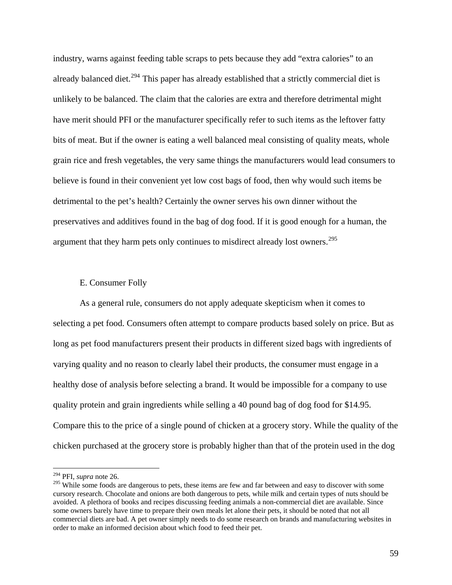<span id="page-61-0"></span>industry, warns against feeding table scraps to pets because they add "extra calories" to an already balanced diet.<sup>[294](#page-61-1)</sup> This paper has already established that a strictly commercial diet is unlikely to be balanced. The claim that the calories are extra and therefore detrimental might have merit should PFI or the manufacturer specifically refer to such items as the leftover fatty bits of meat. But if the owner is eating a well balanced meal consisting of quality meats, whole grain rice and fresh vegetables, the very same things the manufacturers would lead consumers to believe is found in their convenient yet low cost bags of food, then why would such items be detrimental to the pet's health? Certainly the owner serves his own dinner without the preservatives and additives found in the bag of dog food. If it is good enough for a human, the argument that they harm pets only continues to misdirect already lost owners.<sup>[295](#page-61-2)</sup>

# E. Consumer Folly

As a general rule, consumers do not apply adequate skepticism when it comes to selecting a pet food. Consumers often attempt to compare products based solely on price. But as long as pet food manufacturers present their products in different sized bags with ingredients of varying quality and no reason to clearly label their products, the consumer must engage in a healthy dose of analysis before selecting a brand. It would be impossible for a company to use quality protein and grain ingredients while selling a 40 pound bag of dog food for \$14.95. Compare this to the price of a single pound of chicken at a grocery story. While the quality of the chicken purchased at the grocery store is probably higher than that of the protein used in the dog

<sup>294</sup> PFI, *supra* note 26.

<span id="page-61-2"></span><span id="page-61-1"></span><sup>&</sup>lt;sup>295</sup> While some foods are dangerous to pets, these items are few and far between and easy to discover with some cursory research. Chocolate and onions are both dangerous to pets, while milk and certain types of nuts should be avoided. A plethora of books and recipes discussing feeding animals a non-commercial diet are available. Since some owners barely have time to prepare their own meals let alone their pets, it should be noted that not all commercial diets are bad. A pet owner simply needs to do some research on brands and manufacturing websites in order to make an informed decision about which food to feed their pet.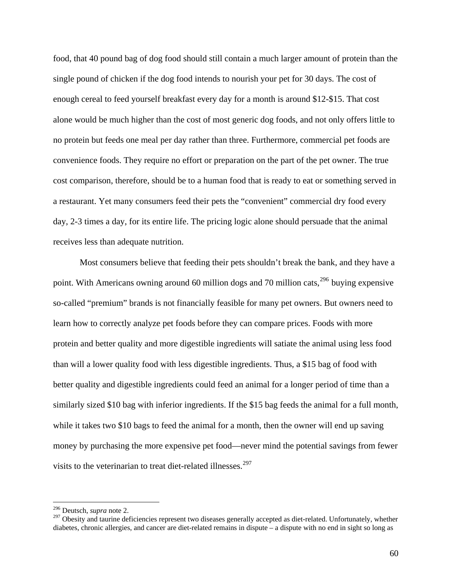food, that 40 pound bag of dog food should still contain a much larger amount of protein than the single pound of chicken if the dog food intends to nourish your pet for 30 days. The cost of enough cereal to feed yourself breakfast every day for a month is around \$12-\$15. That cost alone would be much higher than the cost of most generic dog foods, and not only offers little to no protein but feeds one meal per day rather than three. Furthermore, commercial pet foods are convenience foods. They require no effort or preparation on the part of the pet owner. The true cost comparison, therefore, should be to a human food that is ready to eat or something served in a restaurant. Yet many consumers feed their pets the "convenient" commercial dry food every day, 2-3 times a day, for its entire life. The pricing logic alone should persuade that the animal receives less than adequate nutrition.

Most consumers believe that feeding their pets shouldn't break the bank, and they have a point. With Americans owning around 60 million dogs and 70 million cats,  $2^{96}$  buying expensive so-called "premium" brands is not financially feasible for many pet owners. But owners need to learn how to correctly analyze pet foods before they can compare prices. Foods with more protein and better quality and more digestible ingredients will satiate the animal using less food than will a lower quality food with less digestible ingredients. Thus, a \$15 bag of food with better quality and digestible ingredients could feed an animal for a longer period of time than a similarly sized \$10 bag with inferior ingredients. If the \$15 bag feeds the animal for a full month, while it takes two \$10 bags to feed the animal for a month, then the owner will end up saving money by purchasing the more expensive pet food—never mind the potential savings from fewer visits to the veterinarian to treat diet-related illnesses.<sup>[297](#page-62-1)</sup>

<span id="page-62-0"></span><sup>296</sup> Deutsch, *supra* note 2.

<span id="page-62-1"></span><sup>&</sup>lt;sup>297</sup> Obesity and taurine deficiencies represent two diseases generally accepted as diet-related. Unfortunately, whether diabetes, chronic allergies, and cancer are diet-related remains in dispute – a dispute with no end in sight so long as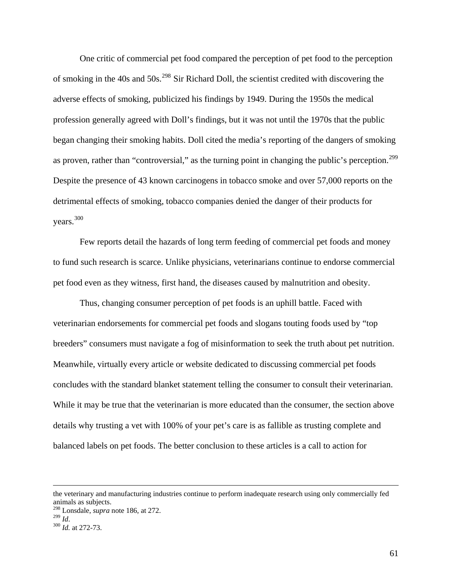One critic of commercial pet food compared the perception of pet food to the perception of smoking in the 40s and 50s.<sup>[298](#page-63-0)</sup> Sir Richard Doll, the scientist credited with discovering the adverse effects of smoking, publicized his findings by 1949. During the 1950s the medical profession generally agreed with Doll's findings, but it was not until the 1970s that the public began changing their smoking habits. Doll cited the media's reporting of the dangers of smoking as proven, rather than "controversial," as the turning point in changing the public's perception.<sup>[299](#page-63-1)</sup> Despite the presence of 43 known carcinogens in tobacco smoke and over 57,000 reports on the detrimental effects of smoking, tobacco companies denied the danger of their products for years.<sup>[300](#page-63-2)</sup>

Few reports detail the hazards of long term feeding of commercial pet foods and money to fund such research is scarce. Unlike physicians, veterinarians continue to endorse commercial pet food even as they witness, first hand, the diseases caused by malnutrition and obesity.

Thus, changing consumer perception of pet foods is an uphill battle. Faced with veterinarian endorsements for commercial pet foods and slogans touting foods used by "top breeders" consumers must navigate a fog of misinformation to seek the truth about pet nutrition. Meanwhile, virtually every article or website dedicated to discussing commercial pet foods concludes with the standard blanket statement telling the consumer to consult their veterinarian. While it may be true that the veterinarian is more educated than the consumer, the section above details why trusting a vet with 100% of your pet's care is as fallible as trusting complete and balanced labels on pet foods. The better conclusion to these articles is a call to action for

the veterinary and manufacturing industries continue to perform inadequate research using only commercially fed animals as subjects.

<span id="page-63-0"></span><sup>&</sup>lt;sup>298</sup> Lonsdale, *supra* note 186, at 272.<br><sup>299</sup> *I<sub>I</sub>* 

<span id="page-63-2"></span><span id="page-63-1"></span><sup>&</sup>lt;sup>300</sup> *Id.* at 272-73.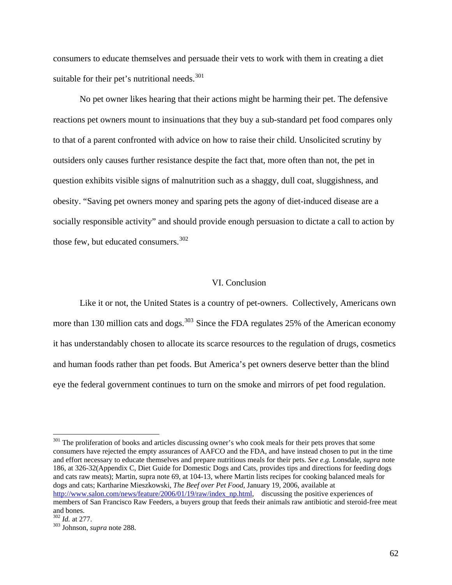<span id="page-64-0"></span>consumers to educate themselves and persuade their vets to work with them in creating a diet suitable for their pet's nutritional needs.<sup>[301](#page-64-1)</sup>

No pet owner likes hearing that their actions might be harming their pet. The defensive reactions pet owners mount to insinuations that they buy a sub-standard pet food compares only to that of a parent confronted with advice on how to raise their child. Unsolicited scrutiny by outsiders only causes further resistance despite the fact that, more often than not, the pet in question exhibits visible signs of malnutrition such as a shaggy, dull coat, sluggishness, and obesity. "Saving pet owners money and sparing pets the agony of diet-induced disease are a socially responsible activity" and should provide enough persuasion to dictate a call to action by those few, but educated consumers.  $302$ 

#### VI. Conclusion

 Like it or not, the United States is a country of pet-owners. Collectively, Americans own more than 130 million cats and dogs.<sup>[303](#page-64-3)</sup> Since the FDA regulates 25% of the American economy it has understandably chosen to allocate its scarce resources to the regulation of drugs, cosmetics and human foods rather than pet foods. But America's pet owners deserve better than the blind eye the federal government continues to turn on the smoke and mirrors of pet food regulation.

<span id="page-64-1"></span><sup>&</sup>lt;sup>301</sup> The proliferation of books and articles discussing owner's who cook meals for their pets proves that some consumers have rejected the empty assurances of AAFCO and the FDA, and have instead chosen to put in the time and effort necessary to educate themselves and prepare nutritious meals for their pets. *See e.g.* Lonsdale, *supra* note 186, at 326-32(Appendix C, Diet Guide for Domestic Dogs and Cats, provides tips and directions for feeding dogs and cats raw meats); Martin, supra note 69, at 104-13, where Martin lists recipes for cooking balanced meals for dogs and cats; Kartharine Mieszkowski, *The Beef over Pet Food*, January 19, 2006, available at [http://www.salon.com/news/feature/2006/01/19/raw/index\\_np.html,](http://www.salon.com/news/feature/2006/01/19/raw/index_np.html) discussing the positive experiences of members of San Francisco Raw Feeders, a buyers group that feeds their animals raw antibiotic and steroid-free meat

<span id="page-64-2"></span>and bones.<br> $302$  *Id.* at 277.

<span id="page-64-3"></span><sup>&</sup>lt;sup>303</sup> Johnson, *supra* note 288.